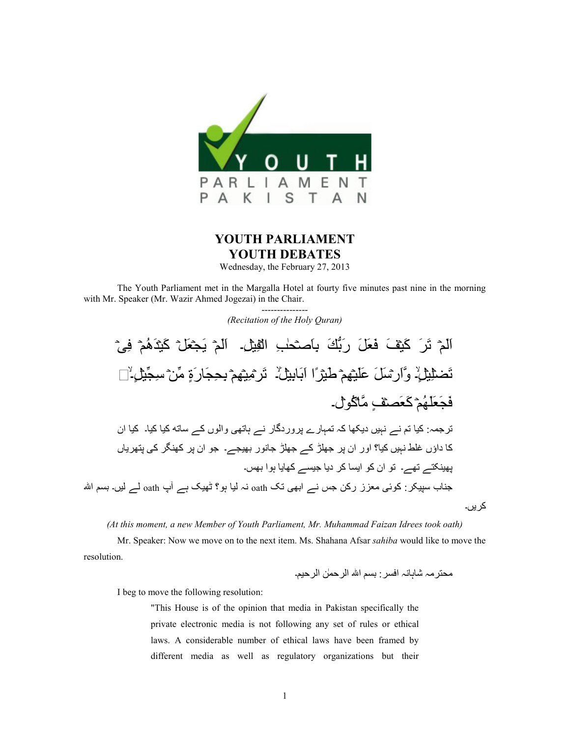

## **YOUTH PARLIAMENT YOUTH DEBATES**

Wednesday, the February 27, 2013

The Youth Parliament met in the Margalla Hotel at fourty five minutes past nine in the morning with Mr. Speaker (Mr. Wazir Ahmed Jogezai) in the Chair.

> --------------- *(Recitation of the Holy Quran)*

اَلْمْ تَرَ كَيْفَ فَعَلَ رَبُّكَ بِاَصْحَابِ الْقِيْلِ. الْمْ يَجْعَلْ كَيْدَهُمْ فِيْ تَضطِّيْلُ ۚ وَّارِسْلَ عَلَيْهِمْ طَيْرًا ابَابِيِلْ ۚ تَرْمِيْهِمْ بِحِجَارَةٍ مِّنْ سِجِّيْلٍ ۗ ٰ [ ] فَجَعَلَّهُمْ كَعَصفٍ مَّاكُولُ۔ ترجمہ: کیا تم نے نہیں دیکھا کہ تمہارے پروردگار نے ہاتھی والوں کے ساته کیا کیا۔ کیا ان کا داؤں غلط نہیں کیا؟ اور ان پر جھلڑ کے جھلڑ جانور بھیجے۔ جو ان پر کھنگر کی پتھریاں یھینکتے تھے۔ تو ان کو ایسا کر دیا جیسے کھایا ہوا بھس۔ جناب سپیکر : کوئی معزز رکن جس نے ابھی تک  $\operatorname{aath}$  نہ لیا ہو؟ ٹھیک ہے آپ  $\operatorname{aath}$  لے لیں۔ بسم اللہ کریں۔

*(At this moment, a new Member of Youth Parliament, Mr. Muhammad Faizan Idrees took oath)* 

 Mr. Speaker: Now we move on to the next item. Ms. Shahana Afsar *sahiba* would like to move the resolution.

۔D0B2ا Xٰ`B2ا ا D{: :B{?ا ہg9ہ9 ہYBw6Y

I beg to move the following resolution:

"This House is of the opinion that media in Pakistan specifically the private electronic media is not following any set of rules or ethical laws. A considerable number of ethical laws have been framed by different media as well as regulatory organizations but their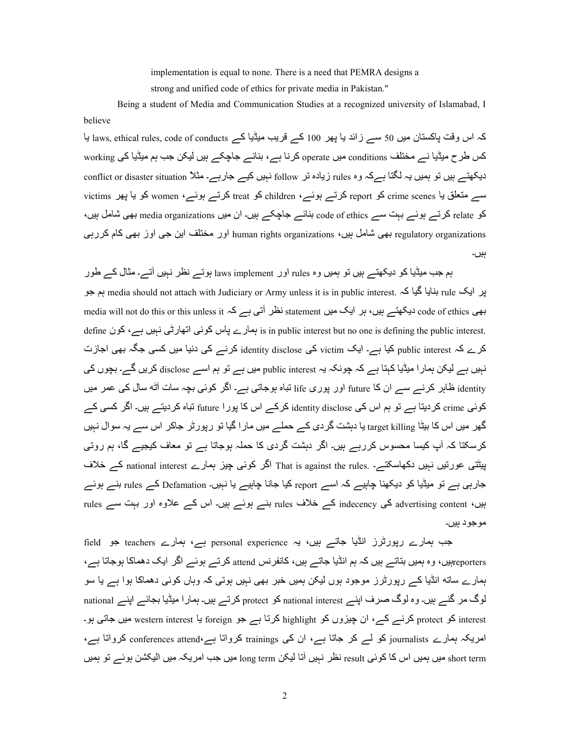implementation is equal to none. There is a need that PEMRA designs a strong and unified code of ethics for private media in Pakistan."

 Being a student of Media and Communication Studies at a recognized university of Islamabad, I believe

کہ اس وقت پاکستان میں 50 سے زائد یا پھر 100 کے قریب میڈیا کے laws, ethical rules, code of conducts یا کس طرح میڈیا نے مختلف conditions میں operate کرنا ہے، بنائے جاچکے ہیں لیکن جب ہم میڈیا کی working دیکھتے ہیں تو ہمیں یہ لگتا ہےکہ وہ rules زیادہ تر follow نہیں کیے جارہے۔ مثلاً conflict or disaster situation سہ متعلق یا crime scenes کو report کرتے ہوئے، children کو treat کرتے ہوئے، women کو یا یہر victims کو relate کرتے ہوئے بہت سے code of ethics بنائے جاچکے ہیں۔ ان میں media organizations بھی شامل ہیں، regulatory organizations اور مختلف این جی اوز بھی کام کررہی . human rights organizations کی اور بھی کام کررہی ہیں۔

ہم جب میڈیا کو دیکھتے ہیں تو ہمیں وہ rules اور laws implement ہوتے نظر نہیں آتے۔ مثال کے طور پر ایک rule بنایا گیا کہ media should not attach with Judiciary or Army unless it is in public interest. ہم جو media will not do this or this unless it ہے کہ statement نظر آتی ہے کہ media will not do this or this unless it define نہمارے پاس کوئی اتھارٹی نہیں ہے، کون is in public interest but no one is defining the public interest. کرے کہ public interest کیا ہے۔ ایک victim کی identity disclose کرنے کی دنیا میں کسی جگہ بھی اجازت نبیں ہے لیکن ہمار ا میڈیا کہتا ہے کہ جونکہ یہ public interest میں ہے تو ہم اسے disclose کریں گے۔ بجوں کی identity ظاہر کرنے سے ان کا future اور پوری life تباہ ہوجاتی ہے۔ اگر کوئی بچہ سات آٹه سال کی عمر میں کوئی crime کردیتا ہے تو ہم اس کی identity disclose کرکے اس کا پورا future تباہ کردیتے ہیں۔ اگر کسی کے گھر میں اس کا بیٹا target killing یا دہشت گر دی کے حملے میں مار ! گیا تو رپور ٹر جاکر اس سے یہ سوال نہیں کرسکتا کہ آپ کیسا محسوس کررہے ہیں۔ اگر دہشت گردی کا حملہ ہوجاتا ہے تو معاف کیجیے گا، ہم روتی بیٹتی عورتیں نہیں دکھاسکتے۔ .That is against the rules اگر کوئی چیز ہمارے national interest کے خلاف جارہی ہے تو میڈیا کو دیکھنا چاہیے کہ اسے report کیا جانا چاہیے یا نہیں۔ Defamation کے rules بنے ہوئے ہیں، advertising content کی indecency کے خلاف rules بنے ہوئے ہیں۔ اس کے علاوہ اور بہت سے rules مو جو د ہیں۔

جب ہمارے رپورٹرز انڈیا جاتے ہیں، یہ personal experience ہے، ہمارے teachers جو field reportersہیں، وہ ہمیں بتاتے ہیں کہ ہم انڈیا جاتے ہیں، کانفرنس attend کرتے ہوئے اگر ایک دھماکا ہوجاتا ہے، ہمارے ساته انڈیا کے رپورٹرز موجود ہوں لیکن ہمیں خبر بھی نہیں ہوتی کہ وہاں کوئی دھماکا ہوا ہے یا سو لوگ مر گئے ہیں۔ وہ لوگ صرف اپنے national interest کو protect کرتے ہیں۔ ہمار ا میڈیا بجائے اپنے national interest کو protect کرنے کے، ان چیزوں کو highlight کرتا ہے جو foreign یا western interest میں جاتی ہو۔ امریکہ ہمارے journalists کو لہ کر جاتا ہے، ان کی trainings کرواتا ہے،conferences attend کرواتا ہے، short term میں ہمیں اس کا کوئی result نظر نہیں آتا لیکن long term میں جب امریکہ میں الیکشن ہوئے تو ہمیں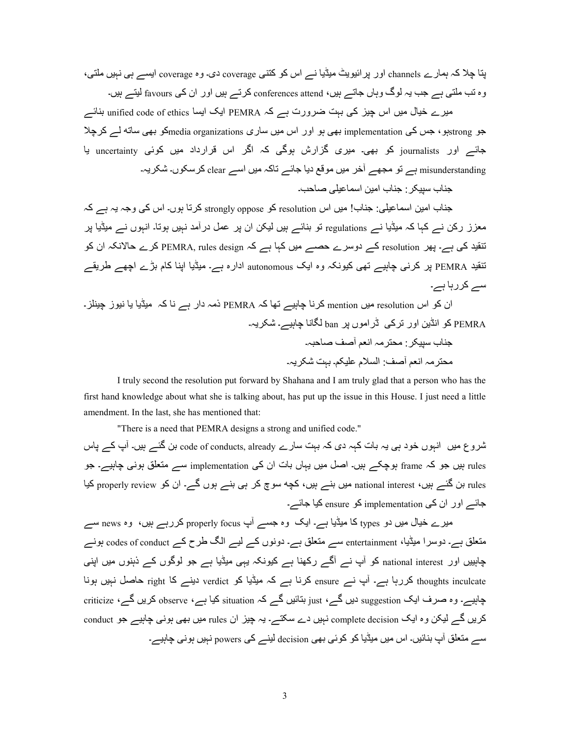پتا چلا کہ ہمارے channels اور پر ائیویٹ میڈیا نے اس کو کتنی coverage دی۔ وہ coverage ایسے ہی نہیں ملتی، وہ تب ملتی ہے جب یہ لوگ وہاں جاتے ہیں، conferences attend کرتے ہیں اور ان کی favours لیتے ہیں۔

میرے خیال میں اس چیز کی بہت ضرورت ہے PEMRA ایک ایسا unified code of ethics بنائے جو strongپو، جس کی implementation بھی ہو اور اس میں ساری media organizationsکو بھی ساته لے کرچلا جائے اور journalists کو بھی۔ میری گزارش ہوگی کہ اگر اس قرارداد میں کوئی uncertainty یا misunderstanding ہے تو مجھے آخر میں موقع دیا جائے تاکہ میں اسے clear کر سکوں۔ شکر یہ۔

جناب سبیکر : جناب امین اسماعیلی صاحب۔

جناب امین اسماعیلی: جناب! میں اس resolution کو strongly oppose کرتا ہوں۔ اس کی وجہ یہ ہے کہ معزز رکن نے کہا کہ میڈیا نے regulations تو بنائے ہیں لیکن ان پر عمل درآمد نہیں ہوتا۔ انبوں نے میڈیا یر نتقید کی ہے۔ یھر resolution کے دوسرے حصے میں کہا ہے کہ PEMRA, rules design کرے حالانکہ ان کو تنقید PEMRA پر کرنی چاہیے تھی کیونکہ وہ ایک autonomous ادارہ ہے۔ میڈیا اینا کام بڑے اچھے طریقے سے کررہا ہے۔

ان کو اس resolution میں mention کرنا چاہیے تھا کہ PEMRA ذمہ دار ہے نا کہ میڈیا یا نیوز چینلز ۔ PEMRA کو انڈین اور تر کے لٹر اموں پر ban لگانا جابیے۔ شکر بہ۔ جناب سبیکر : محتر مہ انعم آصف صاحبہ۔ محتر مہ انعم آصف: السلام علیکم۔ بہت شکر بہ۔

 I truly second the resolution put forward by Shahana and I am truly glad that a person who has the first hand knowledge about what she is talking about, has put up the issue in this House. I just need a little amendment. In the last, she has mentioned that:

"There is a need that PEMRA designs a strong and unified code."

تسروع میں انہوں خود ہی یہ بات کہہ دی کہ بہت سارے code of conducts, already بن گئے ہیں۔ آپ کے پاس rules ہیں جو کہ frame ہوچکے ہیں۔ اصل میں یہاں بات ان کی implementation سے متعلق ہونی چاہیے۔ جو rules بن گئے ہیں، national interest میں بنے ہیں، کچه سوچ کر ہی بنے ہوں گے۔ ان کو properly review کیا جائے اور ان کی implementation کو ensure کیا جائے۔

میرے خیال میں دو types کا میڈیا ہے۔ ایک وہ جسے آپ properly focus کررہے ہیں، وہ news سے متعلق ہے۔ دوسرا میڈیا، entertainment سے متعلق ہے۔ دونوں کے لیے الگ طرح کے codes of conduct ہونے چاہییں اور national interest کو آپ نسر آگسر رکھنا ہے کیونکہ یہی میڈیا ہے جو لوگوں کے ذہنوں میں اینی thoughts inculcate کررہا ہے۔ آپ نے ensure کرنا ہے کہ میڈیا کو verdict دینے کا right حاصل نہیں ہونا جابیہ۔ وہ صرف ایک <sub>suggestion</sub> دیں گے ، <sub>iust</sub> بتائیں گے کہ situation کیا ہے ، observe کریں گے ، criticize کریں گے لیکن وہ ایک complete decision نہیں دے سکتے۔ یہ چیز ان rules میں بھی ہونی چاہیے جو conduct سے متعلق آپ بنائیں۔ اس میں میڈیا کو کوئی بھی decision لینے کی powers نہیں ہونی چاہیے۔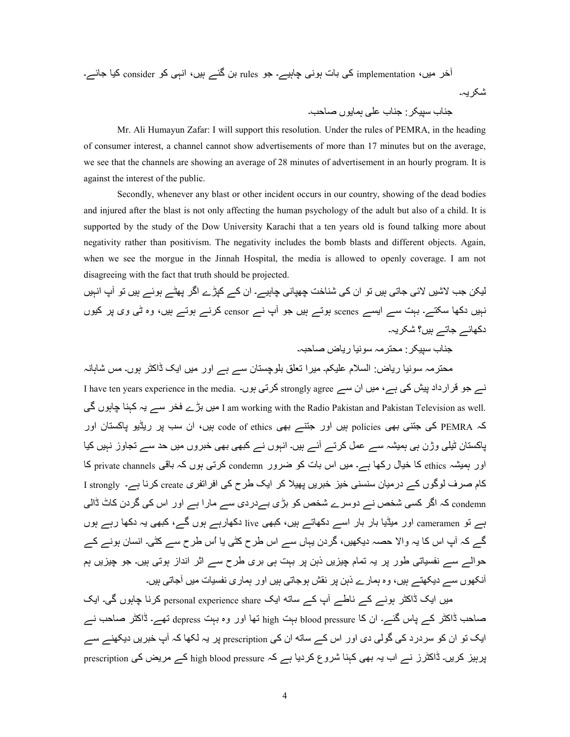ے۔~9a 90i consider ]i lہgا ،ں0ہ ے»n X: rules ]a ے۔0ہ9 lg]ہ ت9: li implementation ،ں0Y B¨ KBcہ۔

۔497 ں[K9`ہ lNS ب9ya :Bc0|T ب9ya

 Mr. Ali Humayun Zafar: I will support this resolution. Under the rules of PEMRA, in the heading of consumer interest, a channel cannot show advertisements of more than 17 minutes but on the average, we see that the channels are showing an average of 28 minutes of advertisement in an hourly program. It is against the interest of the public.

 Secondly, whenever any blast or other incident occurs in our country, showing of the dead bodies and injured after the blast is not only affecting the human psychology of the adult but also of a child. It is supported by the study of the Dow University Karachi that a ten years old is found talking more about negativity rather than positivism. The negativity includes the bomb blasts and different objects. Again, when we see the morgue in the Jinnah Hospital, the media is allowed to openly coverage. I am not disagreeing with the fact that truth should be projected.

لیکن جب لاشیں لائی جاتی ہیں تو ان کی شناخت چھپانی چاہیے۔ ان کے کپڑے اگر پھٹے ہوئے ہیں تو آپ انہیں نہیں دکھا سکتے۔ بہت سے ایسے scenes ہوتے ہیں جو آپ نے censor کرنے ہوتے ہیں، وہ ٹی وی پر کیوں دکھائے جاتے ہیں؟ شکریہ۔

حناب سنبکر · محتر مہ سو نیا ریاض صاحبہ۔

محترمہ سونیا ریاض: السلام علیکم۔ میرا تعلق بلوچستان سے ہے اور میں ایک ڈاکٹر ہوں۔ مس شاہانہ I have ten years experience in the media. کرتی ہوں۔ I have ten years experience in the media. کرتی ہوں۔ ln ں[ہ9 9yہi ہK ےT B? ڑے: ں0Y I am working with the Radio Pakistan and Pakistan Television as well. کہ PEMRA کی جتنی بھی policies بیں اور جتنے بھی code of ethics بیں، ان سب پر ریڈیو پاکستان اور پاکستان ٹیلی وژن ہی ہمیشہ سے عمل کرتے آئے ہیں۔ انہوں نے کبھی بھی خبروں میں حد سے تجاوز نہیں کیا اور ہمیشہ ethics کا خیال رکھا ہے۔ میں اس بات کو ضرور condemn کرتی ہوں کہ باقی private channels کا کام صرف لوگوں کے در میان سنسنی خیز خبر پں پھیلا کر ایک طرح کی افراتفر ی create کرنا ہے۔ I strongly ا condemn کہ اگر کسی شخص نے دوسرے شخص کو بڑی بےدردی سے مارا ہے اور اس کی گردن کاٹ ڈالی ہے تو cameramen اور میڈیا بار بار اسے دکھاتے ہیں، کبھی live دکھارہے ہوں گے، کبھی یہ دکھا رہے ہوں گے کہ آپ اس کا یہ والا حصہ دیکھیں، گردن یہاں سے اس طرح کٹی یا اُس طرح سے کٹی۔ انسان ہونے کے حوالے سے نفسیاتی طور پر یہ تمام چیزیں ذہن پر بہت ہی بری طرح سے اثر انداز ہوتی ہیں۔ جو چیزیں ہم ۔<br>آنکھوں سے دیکھتے ہیں، وہ ہمارے ذہن پر نقش ہوجاتی ہیں اور ہماری نفسیات میں آجاتی ہیں۔

میں ایک ڈاکٹر ہونے کے ناطے آپ کے ساته ایک personal experience share کرنا چاہوں گی۔ ایک صاحب ڈاکٹر کے پاس گئے۔ ان کا blood pressure بہت high تھا اور وہ بہت depress تھے۔ ڈاکٹر صاحب نے ایک تو ان کو سردرد کی گولی دی اور اس کے ساته ان کی prescription پر یہ لکھا کہ آپ خبریں دیکھنے سے پربیز کریں۔ ڈاکٹرز نے اب یہ بھی کہنا شروع کردیا ہے کہ high blood pressure کے مریض کی prescription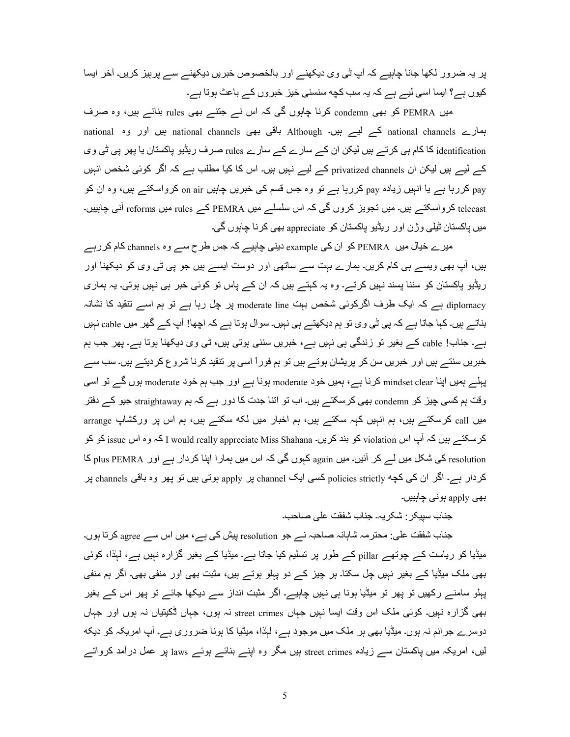پر یہ ضرور لکھا جانا چاہیے کہ آپ ٹی وی دیکھنے اور بالخصوص خبریں دیکھنے سے پرہیز کریں۔ آخر ایسا کیوں ہے؟ ایسا اسی لیے ہے کہ یہ سب کچه سنسنی خیز خبروں کے باعث ہوتا ہے۔

میں PEMRA کو بھی condemn کرنا چاہوں گی کہ اس نے جتنے بھی rules بنائے ہیں، وہ صرف ہمارے national channels کے لیے ہیں۔ Although باقی بھی national hannels ہیں اور وہ national identification کا کام ہی کرتے ہیں لیکن ان کے سارے کے سارے rules صرف ریڈیو پاکستان یا پھر پی ٹی وی کے لیے ہیں لیکن ان privatized channels کے لیے نہیں ہیں۔ اس کا کیا مطلب ہے کہ اگر کوئی شخص انہیں pay کررہا ہے یا انہیں زیادہ pay کررہا ہے تو وہ جس قسم کی خبریں چاہیں on air کرواسکتے ہیں، وہ ان کو telecast کرواسکتے ہیں۔ میں تجویز کروں گی کہ اس سلسلے میں PEMRA کے rules میں reforms آنی چاہییں۔ میں پاکستان ٹیلی وژن اور ریڈیو پاکستان کو appreciate بھی کرنا چاہوں گی۔

میرے خیال میں PEMRA کو ان کی example دینی چاہیے کہ جس طرح سے وہ channels کام کر رہے ہیں، آپ بھی ویسے ہی کام کریں۔ ہمارے بہت سے ساتھی اور دوست ایسے ہیں جو پی ٹی وی کو دیکھنا اور ریڈیو پاکستان کو سننا پسند نہیں کرتے۔ وہ یہ کہتے ہیں کہ ان کے پاس تو کوئی خبر ہی نہیں ہوتی۔ یہ ہماری diplomacy ہے کہ ایک طرف اگرکوئی شخص بہت moderate line پر چل رہا ہے تو ہم اسے تنقید کا نشانہ بناتے ہیں۔ کہا جاتا ہے کہ پی ٹی وی تو ہم دیکھتے ہی نہیں۔ سوال ہوتا ہے کہ اچھا! آپ کے گھر میں cable نہیں ہے۔ جناب! cable کے بغیر تو زندگی ہی نہیں ہے، خبریں سننی ہوتی ہیں، ٹی وی دیکھنا ہوتا ہے۔ یھر جب ہم خبریں سنتے ہیں اور خبریں سن کر پریشان ہوتے ہیں تو ہم فوراً اسی پر تنقید کرنا شروع کردیتے ہیں۔ سب سے پہلے ہمیں اپنا mindset clear کرنا ہے، ہمیں خود moderate ہونا ہے اور جب ہم خود moderate ہوں گے تو اسی وقت ہم کسی چیز کو condemn بھی کرسکتے ہیں۔ اب تو اتنا جدت کا دور ہے کہ ہم straightaway جیو کے دفتر میں call کرسکتے ہیں، ہم انہیں کہہ سکتے ہیں، ہم اخبار میں لکه سکتے ہیں، ہم اس پر ورکشاپ arrange كرسكتے ہيں كہ آپ اس violation كو بند كريں۔ I would really appreciate Miss Shahana كہ وہ اس issue كو كو resolution کی شکل میں لے کر آئیں۔ میں <sub>again</sub> کہوں گی کہ اس میں ہمارا اپنا کردار ہے اور plus PEMRA کا کردار ہے۔ اگر ان کی کچه policies strictly کسی ایک channel پر apply ہوتی ہیں تو پھر وہ باقی channels پر بھی apply ہونی چاہییں۔

جناب سييكر : شكر يہ۔ جناب شفقت على صاحب۔

جناب شفقت علی: محترمہ شاہانہ صاحبہ نے جو resolution پیش کی ہے، میں اس سے agree کرتا ہوں۔ میڈیا کو ریاست کے چوتھے pillar کے طور پر تسلیم کیا جاتا ہے۔ میڈیا کے بغیر گزارہ نہیں ہے، لہٰذا، کوئی بھی ملک میڈیا کے بغیر نہیں چل سکتا۔ ہر چیز کے دو پہلو ہوتے ہیں، مثبت بھی اور منفی بھی۔ اگر ہم منفی پہلو سامنے رکھیں تو پھر تو میڈیا ہونا ہی نہیں چاہیے۔ اگر مثبت انداز سے دیکھا جائے تو پھر اس کے بغیر بھی گزارہ نہیں۔ کوئی ملک اس وقت ایسا نہیں جہاں street crimes نہ ہوں، جہاں ڈکیتیاں نہ ہوں اور جہاں دوسرے جرائم نہ ہوں۔ میٹیا بھی ہر ملک میں موجود ہے، لہٰذا، میٹیا کا ہونا ضروری ہے۔ آپ امریکہ کو دیکه لیں، امریکہ میں پاکستان سے زیادہ street crimes ہیں مگر وہ اپنے بنائے ہوئے laws پر عمل درآمد کرواتے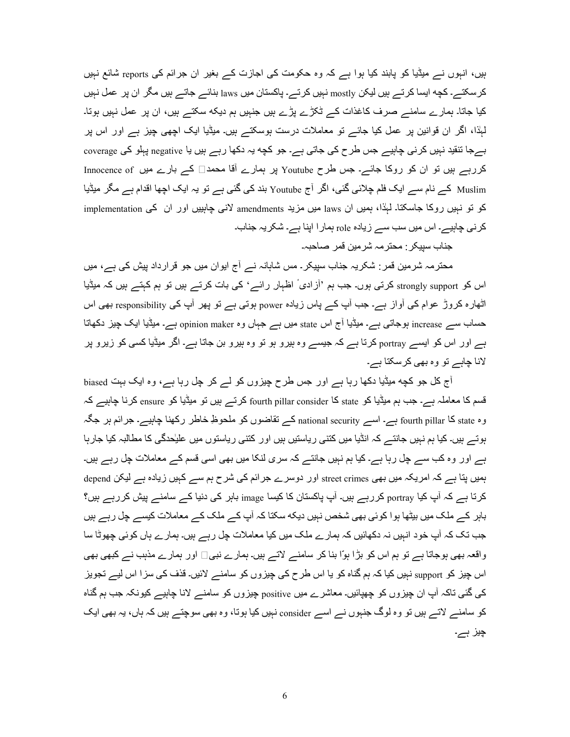ہیں، انہوں نے میڈیا کو پابند کیا ہوا ہے کہ وہ حکومت کی اجازت کے بغیر ان جرائم کی reports شائع نہیں کر سکتے۔ کچه ایسا کر تے ہیں لیکن mostly نہیں کر تے۔ پاکستان میں laws بنائے جاتے ہیں مگر ان پر عمل نہیں کیا جاتا۔ ہمارے سامنے صرف کاغذات کے ٹکڑے پڑے ہیں جنہیں ہم دیکه سکتے ہیں، ان پر عمل نہیں ہوتا۔ لمبذا، اگر ان قوانین پر عمل کیا جائے تو معاملات درست بوسکتے ہیں۔ میڈیا ایک اچھی چیز ہے اور اس پر بہجا تنقید نہیں کرنی چاہیے جس طرح کی جاتی ہے۔ جو کچه یہ دکھا رہے ہیں یا negative پہلو کی coverage کررہے ہیں تو ان کو روکا جائے۔ جس طرح Youtube پر ہمارے آقا محمد□ کے بارے میں Innocence of Muslim کے نام سے ایک فلم چلائی گئی، اگر آج Youtube بند کی گئی ہے تو یہ ایک اچھا اقدام ہے مگر میڈیا کو تو نہیں روکا جاسکتا۔ لہٰذا، ہمیں ان laws میں مزید amendments لانی چاہییں اور ان کی implementation کرنی چاہیے۔ اس میں سب سے زیادہ role ہمار ا اپنا ہے۔ شکریہ جناب۔

جناب سييكر : محترمہ شرمين قمر صاحبہ۔

محترمہ شرمین قمر : شکریہ جناب سپیکر ـ مس شاہانہ نے آج ایوان میں جو قرارداد پیش کی ہے، میں اس کو strongly support کرتی ہوں۔ جب ہم 'آزادی' اظہار رائے' کی بات کرتے ہیں تو ہم کہتے ہیں کہ میڈیا اٹھارہ کروڑ عوام کی آواز ہے۔ جب آپ کے پاس زیادہ power ہوتی ہے تو پھر آپ کی responsibility بھی اس حساب ســـر increase بوجاتـي ہـــر- ميڈيا آج اس state ميں ہـــر جباں وہ opinion maker ہـــر- ميڈيا ايک چيز دکھاتا ہے اور اس کو ایسے portray کرتا ہے کہ جیسے وہ ہیرو ہو تو وہ ہیرو بن جاتا ہے۔ اگر میڈیا کسی کو زیرو پر لانا چاہے تو وہ بھی کرسکتا ہے۔

أج كل جو كچه ميڈيا دكھا رہا ہے اور جس طرح چيزوں كو لے كر چل رہا ہے، وہ ايک بہت biased قسم کا معاملہ ہے۔ جب ہم میڈیا کو state کا fourth pillar consider کرتے ہیں تو میڈیا کو ensure کرنا چاہیے کہ وہ state کا fourth pillar ہے۔ اسے national security کے تقاضوں کو ملحوظِ خاطر رکھنا چاہیے۔ جرائم ہر جگہ ہوتے ہیں۔ کیا ہم نہیں جانتے کہ انڈیا میں کتنی ریاستیں ہیں اور کتنی ریاستوں میں علیٰحدگی کا مطالبہ کیا جارہا ہے اور وہ کب سے چل رہا ہے۔ کیا ہم نہیں جانتے کہ سری لنکا میں بھی اسی قسم کے معاملات چل رہے ہیں۔ ہمیں پتا ہے کہ امریکہ میں بھی street crimes اور دوسرے جرائم کی شرح ہم سے کہیں زیادہ ہے لیکن depend کرتا ہے کہ آپ کیا portray کررہے ہیں۔ آپ پاکستان کا کیسا image باہر کی دنیا کے سامنے پیش کررہے ہیں؟ باہر کے ملک میں بیٹھا ہوا کوئی بھی شخص نہیں دیکه سکتا کہ آپ کے ملک کے معاملات کیسے جِل رہے ہیں جب تک کہ آپ خود انہیں نہ دکھائیں کہ ہمارے ملک میں کیا معاملات چل رہے ہیں۔ ہمارے ہاں کوئی چھوٹا سا واقعہ بھی ہوجاتا ہے تو ہم اس کو بڑا ہوّا بنا کر سامنے لاتے ہیں۔ ہمارے نبی□ اور ہمارے مذہب نے کبھی بھی اس چیز کو support نہیں کیا کہ ہم گناہ کو یا اس طرح کی چیزوں کو سامنے لائیں۔ قذف کی سزا اس لیے تجویز کی گئی تاکہ آپ ان چیزوں کو چھپائیں۔ معاشرے میں positive چیزوں کو سامنے لانا چاہیے کیونکہ جب ہم گناہ کو سامنے لاتے ہیں تو وہ لوگ جنہوں نے اسے consider نہیں کیا ہوتا، وہ بھی سوچتے ہیں کہ ہاں، یہ بھی ایک چیز ہے۔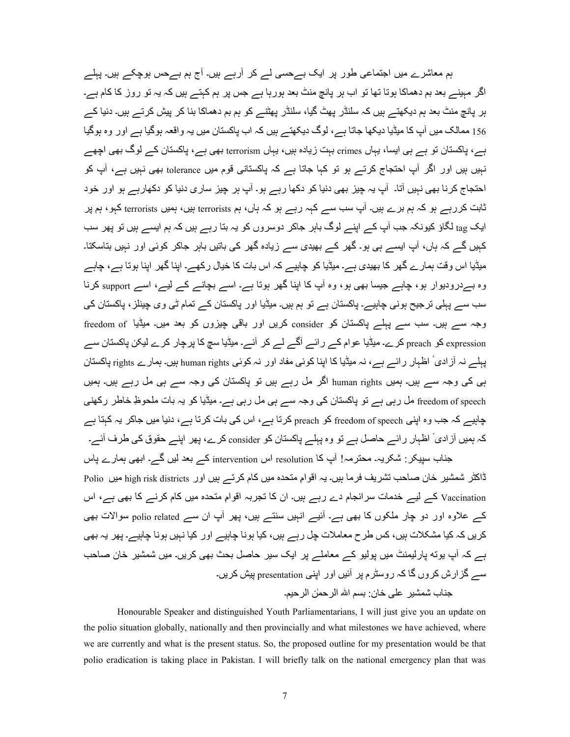ہم معاشرے میں اجتماعی طور پر ایک بےحسی لے کر آرہے ہیں۔ آج ہم بےحس ہوچکے ہیں۔ پہلے اگر مہینے بعد بم دھماکا ہوتا تھا تو اب ہر پانچ منٹ بعد ہورہا ہے جس پر ہم کہتے ہیں کہ یہ تو روز کا کام ہے۔ ہر پانچ منٹ بعد ہم دیکھتے ہیں کہ سلنڈر پھٹ گیا، سلنڈر پھٹنے کو ہم بم دھماکا بنا کر پیش کرتے ہیں۔ دنیا کے 156 ممالک میں آپ کا میڈیا دیکھا جاتا ہے، لوگ دیکھتے ہیں کہ اب پاکستان میں یہ واقعہ ہوگیا ہے اور وہ ہوگیا ہے، پاکستان تو ہے ہی ایسا، یہاں crimes بہت زیادہ ہیں، یہاں terrorism بھی ہے، پاکستان کے لوگ بھی اچھے نہیں ہیں اور اگر آپ احتجاج کرتے ہو تو کہا جاتا ہے کہ پاکستانی قوم میں tolerance بھی نہیں ہے، آپ کو احتجاج کرنا بھی نہیں آتا۔ آپ یہ چیز بھی دنیا کو دکھا رہے ہو۔ آپ ہر چیز ساری دنیا کو دکھارہے ہو اور خود ٹابت کررہے ہو کہ ہم برے ہیں۔ آپ سب سے کہہ رہے ہو کہ ہاں، ہم terrorists ہیں، ہمیں terrorists کہو، ہم پر ایک tag لگاؤ کیونکہ جب آپ کے اپنے لوگ باہر جاکر دوسروں کو یہ بتا رہے ہیں کہ ہم ایسے ہیں تو پھر سب کہیں گے کہ ہاں، آپ ایسے ہی ہو۔ گھر کے بھیدی سے زیادہ گھر کی باتیں باہر جاکر کوئی اور نہیں بتاسکتا۔ میڈیا اس وقت ہمارے گھر کا بھیدی ہے۔ میڈیا کو چاہیے کہ اس بات کا خیال رکھے۔ اپنا گھر اپنا ہوتا ہے، چاہے وہ بسردرودیوار ہو، چاہے جیسا بھی ہو، وہ آپ کا اپنا گھر ہوتا ہے۔ اسے بچانے کے لیے، اسے support کرنا سب سے پہلی ترجیح ہونی چاہیے۔ پاکستان ہے تو ہم ہیں۔ میڈیا اور پاکستان کے تمام ٹی وی چینلز ، پاکستان کی وجہ سے ہیں۔ سب سے پہلے پاکستان کو consider کریں اور باقی چیزوں کو بعد میں۔ میڈیا freedom of expression کو preach کرے۔ میڈیا عوام کے رائے آگے لے کر آئے۔ میڈیا سچ کا پرچار کرے لیکن پاکستان سے یہلے نہ آز ادی ٔ اظہار رائے ہے، نہ میڈیا کا اپنا کوئی مفاد اور نہ کوئی human rights ہیں۔ ہمارے rights پاکستان ہی کی وجہ سے ہیں۔ ہمیں human rights اگر مل رہے ہیں تو پاکستان کی وجہ سے ہی مل رہے ہیں۔ ہمیں freedom of speech مل رہی ہے تو پاکستان کی وجہ سے ہی مل رہی ہے۔ میڈیا کو یہ بات ملحوظِ خاطر رکھنی جابیے کہ جب وہ اپنی freedom of speech کو preach کر تا ہے، اس کی بات کر تا ہے، دنیا میں جاکر یہ کہتا ہے کہ ہمیں آزادی ٔ اظہار رائے حاصل ہے تو وہ پہلے پاکستان کو consider کرے، پھر اپنے حقوق کی طرف آئے۔ جناب سپیکر : شکریہ۔ محترمہ! آپ کا resolution اس intervention کے بعد لیں گے۔ ابھی ہمارے پاس

ڈاکٹر شمشیر خان صاحب تشریف فرما ہیں۔ یہ اقوامِ متحدہ میں کام کرتے ہیں اور high risk districts میں Polio Vaccination کے لیے خدمات سرانجام دے رہے ہیں۔ ان کا تجربہ اقوامِ متحدہ میں کام کرنے کا بھی ہے، اس کہ علاوہ اور دو چار ملکوں کا بھی ہے۔ آئیے انہیں سنتے ہیں، پھر آپ ان سے polio related سوالات بھی کریں کہ کیا مشکلات ہیں، کس طرح معاملات چل رہے ہیں، کیا ہونا چاہیے اور کیا نہیں ہونا چاہیے۔ پھر یہ بھی بے کہ آپ یوته پار لیمنٹ میں بولیو کے معاملے پر ایک سیر حاصل بحث بھی کریں۔ میں شمشیر خان صاحب سے گز ار ش کر وں گا کہ ر وسٹر م بر آئیں اور اپنے، presentation بیش کر یں۔ جناب شمشير على خان: بسم الله الرحمٰن الرحيم۔

 Honourable Speaker and distinguished Youth Parliamentarians, I will just give you an update on the polio situation globally, nationally and then provincially and what milestones we have achieved, where we are currently and what is the present status. So, the proposed outline for my presentation would be that polio eradication is taking place in Pakistan. I will briefly talk on the national emergency plan that was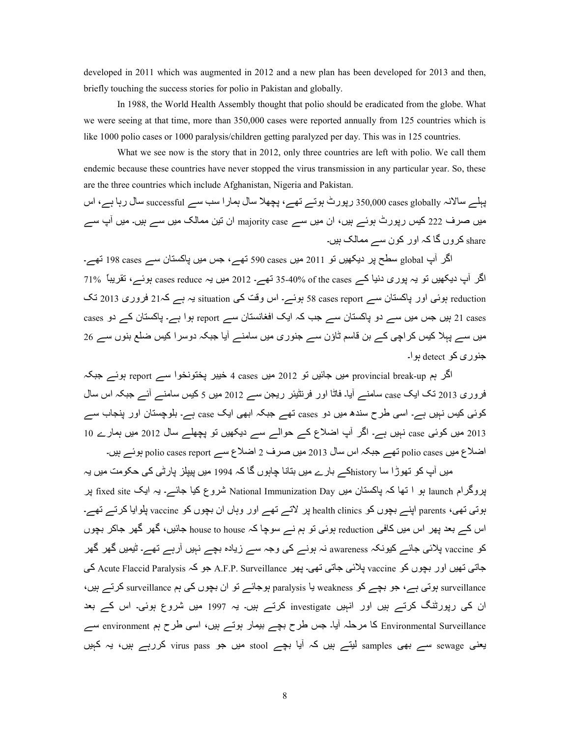developed in 2011 which was augmented in 2012 and a new plan has been developed for 2013 and then, briefly touching the success stories for polio in Pakistan and globally.

In 1988, the World Health Assembly thought that polio should be eradicated from the globe. What we were seeing at that time, more than 350,000 cases were reported annually from 125 countries which is like 1000 polio cases or 1000 paralysis/children getting paralyzed per day. This was in 125 countries.

What we see now is the story that in 2012, only three countries are left with polio. We call them endemic because these countries have never stopped the virus transmission in any particular year. So, these are the three countries which include Afghanistan, Nigeria and Pakistan.

پہلے سالانہ 350,000 cases globally رپورٹ ہوتے تھے، پچھلا سال ہمارا سب سے successful سال رہا ہے، اس میں صرف 222 کیس رپورٹ ہوئے ہیں، ان میں سے majority case ان تین ممالک میں سے ہیں۔ میں آپ سے share کروں گا کہ اور کون سے ممالک ہیں۔

اگر آپ global سطح پر دیکھیں تو 2011 میں cases 590 تھے، جس میں پاکستان سے cases تھے۔ اگر آبِ دیکھیں تو یہ بوری دنیا کے of the cases of 35-40% تھے۔ 2012 میں یہ cases reduce ہوئے، تقریباً 71% reduction ہوئی اور پاکستان سے s8 cases report ہوئے۔ اس وقت کی situation یہ ہے کہ21 فروری 2013 تک 21 cases ہیں جس میں سے دو پاکستان سے جب کہ ایک افغانستان سے report ہوا ہے۔ پاکستان کے دو cases میں سے پہلا کیس کر اچی کے بن قاسم ٹاؤن سے جنوری میں سامنے آیا جبکہ دوسرا کیس ضلع بنوں سے 26 جنو ري کو  $\det$  detect بو ا۔

اگر ہم provincial break-up میں جائیں تو 2012 میں cases 4 خیبر پختونخوا سے report ہوئے جبکہ فروری 2013 تک ایک case سامنے آیا۔ فاٹا اور فرنٹیئر ریجن سے 2012 میں 5 کیس سامنے آئے جبکہ اس سال کوئی کیس نہیں ہے۔ اسی طرح سندھ میں دو cases تھے جبکہ ابھی ایک case ہے۔ بلوچستان اور پنجاب سے 2013 میں کوئی case نہیں ہے۔ اگر آپ اضلاع کے حوالے سے دیکھیں تو یچھلے سال 2012 میں ہمارے 10 اضلاع میں polio cases تھے جبکہ اس سال 2013 میں صرف 2 اضلاع سے polio cases report ہوئے ہیں۔

میں آپ کو تھوڑا سا historyکے بارے میں بتانا جاہوں گا کہ 1994 میں بیپلز پارٹی کی حکومت میں پہ پروگرام launch بو ا تھا کہ پاکستان میں National Immunization Day شروع کیا جائـــر۔ یہ ایک fixed site پر ہوتی تھی، parents اپنے بچوں کو health clinics پر لاتے تھے اور وہاں ان بچوں کو vaccine پلوایا کرتے تھے۔ اس کے بعد پھر اس میں کافی reduction ہوئی تو ہم نے سوچا کہ house to house جائیں، گھر گھر جاکر بچوں کو vaccine پلائی جائے کیونکہ awareness نہ ہونے کی وجہ سے زیادہ بچے نہیں آرہے تھے۔ ٹیمیں گھر گھر جاتي تھيں اور بچوں کو vaccine پلائي جاتي تھي۔ پھر A.F.P. Surveillance جو کہ Acute Flaccid Paralysis کی surveillance ہوتی ہے، جو بچے کو weakness یا paralysis ہوجائے تو ان بچوں کی ہم surveillance کرتے ہیں، ان کی رپورٹنگ کرتے ہیں اور انہیں investigate کرتے ہیں۔ یہ 1997 میں شروع ہوئی۔ اس کے بعد Environmental Surveillance کا مرحلہ آیا۔ جس طرح بچے بیمار ہوتے ہیں، اسی طرح ہم environment سے یعنی sewage سے بھی samples لیتے ہیں کہ آیا بچے stool میں جو virus pass کررہے ہیں، یہ کبیں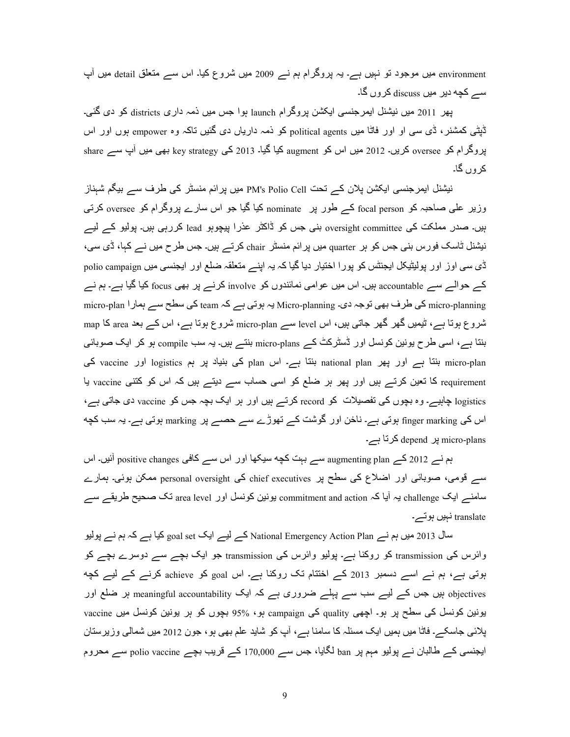environment میں موجود تو نہیں ہے۔ یہ پروگرام ہم نے 2009 میں شروع کیا۔ اس سے متعلق detail میں آپ سے کچه دیر میں discuss کروں گا۔

پھر 2011 میں نیشنل ایمرجنسی ایکشن پروگرام launch ہوا جس میں ذمہ داری districts کو دی گئی۔ ڈیٹی کمشنر، ڈی سی او اور فاٹا میں political agents کو ذمہ داریاں دی گئیں تاکہ وہ empower ہوں اور اس پروگرام کو oversee کریں۔ 2012 میں اس کو augment کیا گیا۔ 2013 کی key strategy بھی میں آپ سے share کر وں گا۔

نیشنل ایمرجنسی ایکشن پلان کے تحت PM's Polio Cell میں پرائم منسٹر کی طرف سے بیگم شبناز وزیر علی صاحبہ کو focal person کے طور پر nominate کیا گیا جو اس سارے پروگرام کو oversee کرتی ہیں۔ صدر مملکت کی oversight committee بنی جس کو ڈاکٹر عذرا بیچوہو lead کررہی ہیں۔ پولیو کے لیے نیشنل ٹاسک فورس بنی جس کو ہر quarter میں پر ائم منسٹر chair کرتے ہیں۔ جس طر ح میں نے کہا، ڈی سی، ڈی سی اوز اور پولیٹیکل ایجنٹس کو پورا اختیار دیا گیا کہ یہ اپنے منعلقہ ضلع اور ایجنسی میں polio campaign کے حوالے سے accountable ہیں۔ اس میں عوامی نمائندوں کو involve کرنے پر بھی focus کیا گیا ہے۔ ہم نے micro-plan کی طرف بھی توجہ دی۔ Micro-planning یہ ہوتی ہے کہ team کی سطح سے ہمار ا micro-plan کا micro شروع ہوتا ہے، ٹیمیں گھر گھر جاتی ہیں، اس level سے micro-plan شروع ہوتا ہے، اس کے بعد area کا map بنتا ہے، اسی طرح یونین کونسل اور ڈسٹرکٹ کے micro-plans بنتے ہیں۔ یہ سب compile ہو کر ایک صوبائی micro-plan بنتا ہے اور بھر national plan بنتا ہے۔ اس plan کی بنیاد پر ہم logistics اور vaccine کی requirement کا تعین کرتے ہیں اور پھر ہر ضلع کو اسی حساب سے دیتے ہیں کہ اس کو کتنی vaccine یا logistics چاہیے۔ وہ بچوں کی تفصیلات کو record کرتے ہیں اور ہر ایک بچہ جس کو vaccine دی جاتی ہے، اس کی finger marking ہوتی ہے۔ ناخن اور گوشت کے تھوڑے سے حصے پر marking ہوتی ہے۔ یہ سب کچه ہیں depend کرتا ہے۔ 9cpend

ہم نے 2012 کے augmenting plan سے بہت کچه سیکھا اور اس سے کافی positive changes آئیں۔ اس سے قومی، صوبائی اور اضلاع کی سطح پر chief executives کی personal oversight ممکن ہوئی۔ ہمارے سامنے ایک challenge بہ آیا کہ commitment and action بونین کونسل اور .area level نک صحیح طریقے سے translate نبیں ہوتسہ۔

سال 2013 میں ہم نے National Emergency Action Plan کے لیے ایک goal set کیا ہے کہ ہم نے پولیو وائرس کی transmission کو روکنا ہے۔ پولیو وائرس کی transmission جو ایک بچے سے دوسرے بچے کو بوتی ہے، ہم نے اسے دسمبر 2013 کے اختتام تک روکنا ہے۔ اس goal کو achieve کرنے کے لیے کچه objectives بیں جس کے لیے سب سے پہلے ضروری ہے کہ ایک meaningful accountability ہیں جس کے لیے سب سے پہلے ضروری ہے بونین کونسل کی سطح پر ہو۔ اچھی quality کی campaign ہو، %95 بچوں کو ہر یونین کونسل میں vaccine پلائی جاسکے۔ فاٹا میں ہمیں ایک مسئلہ کا سامنا ہے، آپ کو شاید علم بھی ہو ، جون 2012 میں شمالی وزیرستان ایجنسی کے طالبان نے پولیو مہم پر ban لگایا، جس سے 170,000 کے قریب بچے polio vaccine سے محروم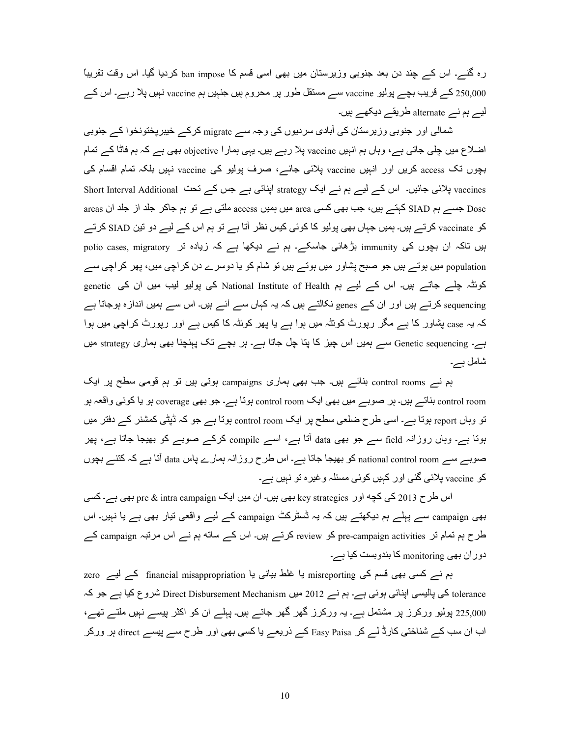رہ گئے۔ اس کے چند دن بعد جنوبی وزیرستان میں بھی اسی قسم کا ban impose کردیا گیا۔ اس وقت نقریباً کے قریب بچے پولیو vaccine سے مستقل طور پر محروم ہیں جنہیں ہم vaccine نہیں پلا رہے۔ اس کے  $250,\!000$ لیے ہم نے alternate طریقے دیکھے ہیں۔

شمالی اور جنوبی وزیرستان کی آبادی سردیوں کی وجہ سے migrate کرکے خیبرپختونخوا کے جنوبی اضلاع میں چلی جاتی ہے، وہاں ہم انہیں vaccine پلا رہے ہیں۔ یہی ہمار ا objective بھی ہے کہ ہم فاتًا کے تمام بچوں تک access کریں اور انہیں vaccine پلائی جائے، صرف پولیو کی vaccine نہیں بلکہ تمام اقسام کی vaccines پلائی جائیں۔ اس کے لیے ہے نے ایک strategy اپنائی ہے جس کے تحت Short Interval Additional areas جسے ہم SIAD کہتے ہیں، جب بھی کسی area میں ہمیں عدد access ملتی ہے تو ہم جاکر جلد از جلد ان areas کو vaccinate کرتے ہیں۔ ہمیں جہاں بھی پولیو کا کوئی کیس نظر آتا ہے تو ہم اس کے لیے دو تین SIAD کرتے بیں تاکہ ان بچوں کی immunity بڑھائی جاسکے۔ ہم نے دیکھا ہے کہ زیادہ تر polio cases, migratory population میں ہوتے ہیں جو صبح پشاور میں ہوتے ہیں تو شام کو یا دوسرے دن کر اچی میں، پھر کر اچی سے کوئٹہ چلے جاتے ہیں۔ اس کے لیے ہم National Institute of Health کی پولیو لیب میں ان کی genetic sequencing کرتے ہیں اور ان کے genes نکالتے ہیں کہ یہ کہاں سے آئے ہیں۔ اس سے ہمیں اندازہ ہوجاتا ہے کہ یہ case پشاور کا ہے مگر رپورٹ کوئٹہ میں ہوا ہے یا پھر کوئٹہ کا کیس ہے اور رپورٹ کراچی میں ہوا ہے۔ Genetic sequencing سے ہمیں اس چیز کا پنا چل جاتا ہے۔ ہر بچے تک پہنچنا بھی ہماری strategy میں شامل ہے۔

ہم نے control rooms بنائے ہیں۔ جب بھی ہماری campaigns ہوتی ہیں تو ہم قومی سطح پر ایک control room بناتے ہیں۔ ہر صوبے میں بھی ایک control room ہوتا ہے۔ جو بھی coverage ہو یا کوئی واقعہ ہو تو وہاں report ہوتا ہے۔ اسی طرح ضلعی سطح پر ایک control room ہوتا ہے جو کہ ڈپٹی کمشنر کے دفتر میں ہوتا ہے۔ وہاں روزانہ field سے جو بھی data آتا ہے، اسے compile کرکے صوبے کو بھیجا جاتا ہے، پھر صوبے سے national control room کو بھیجا جاتا ہے۔ اس طرح روزانہ ہمارے پاس data آتا ہے کہ کننے بچوں کو vaccine بلائی گئی اور کہیں کوئی مسئلہ و غیرہ تو نہیں ہے۔

اس طرح 2013 کی کچه اور key strategies بھی ہیں۔ ان میں ایک pre & intra campaign بھی ہے۔ کسی بھی campaign سے پہلے ہم دیکھتے ہیں کہ یہ ڈسٹرکٹ campaign کے لیے واقعی نیار بھی ہے یا نہیں۔ اس طرح ہم تمام تر pre-campaign activities کو review کرتے ہیں۔ اس کے ساته ہم نے اس مرتبہ campaign کے دوران بھی monitoring کا بندوبست کیا ہے۔

ہم نے کسی بھی قسم کی misreporting یا غلط بیانی یا financial misappropriation کے لیے zero tolerance کی پالیسی اپنائی ہوئی ہے۔ ہم نے 2012 میں Direct Disbursement Mechanism شروع کیا ہے جو کہ 225,000 پولیو ورکرز پر مشتمل ہے۔ یہ ورکرز گھر گھر جاتے ہیں۔ یہلے ان کو اکثر پیسے نہیں ملتے تھے، اب ان سب کے شناختی کارڈ لے کر Easy Paisa کے ذریعے یا کسی بھی اور طرح سے پیسے direct ہر ورکر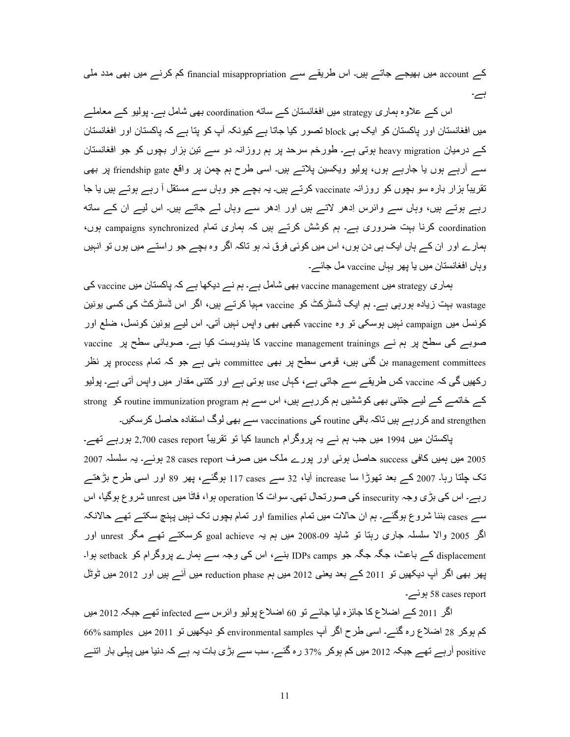کے account میں بھیجے جاتے ہیں۔ اس طریقے سے financial misappropriation کم کرنے میں بھی مدد ملی ہے۔

اس کے علاوہ ہماری strategy میں افغانستان کے ساته coordination بھی شامل ہے۔ پولیو کے معاملے میں افغانستان اور پاکستان کو ایک ہے block تصور کیا جاتا ہے کیونکہ آپ کو پتا ہے کہ پاکستان اور افغانستان کہ درمیان heavy migration ہوتی ہے۔ طورخم سرحد پر ہم روزانہ دو سے تین ہزار بچوں کو جو افغانستان سے آرہے ہوں یا جارہے ہوں، پولیو ویکسین پلاتے ہیں۔ اسی طرح ہم چمن پر واقع friendship gate پر بھی تقریباً ہزار بارہ سو بچوں کو روزانہ vaccinate کرتے ہیں۔ یہ بچے جو وہاں سے مستقل آ رہے ہوتے ہیں یا جا رہے ہوتے ہیں، وہاں سے وائرس اِدھر لاتے ہیں اور اِدھر سے وہاں لے جاتے ہیں۔ اس لیے ان کے ساته coordination کرنا بہت ضروری ہے۔ ہم کوشش کرتے ہیں کہ ہماری تمام campaigns synchronized ہوں، ہمارے اور ان کے ہاں ایک ہی دن ہوں، اس میں کوئی فرق نہ ہو تاکہ اگر وہ بچے جو راستے میں ہوں تو انہیں وہاں افغانستان میں یا پھر یہاں vaccine مل جائے۔

ہماری strategy میں vaccine management بھی شامل ہے۔ ہم نے دیکھا ہے کہ پاکستان میں vaccine کی wastage بہت زیادہ ہورہی ہے۔ ہم ایک ڈسٹرکٹ کو vaccine مہیا کرتے ہیں، اگر اس ڈسٹرکٹ کی کسی یونین کونسل میں campaign نہیں بوسکی تو وہ vaccine کبھی بھی واپس نہیں آتی۔ اس لیے یونین کونسل، ضلع اور صوبے کی سطح پر ہم نے vaccine management trainings کا بندوبست کیا ہے۔ صوبائی سطح پر vaccine management committees بن گئی ہیں، قومی سطح پر بھی committee بنی ہے جو کہ تمام process پر نظر رکھیں گی کہ vaccine کس طریقے سے جاتی ہے، کہاں use ہوتی ہے اور کتنی مقدار میں واپس آتی ہے۔ پولیو کے خاتمے کے لیے جتنی بھی کوششیں ہم کررہے ہیں، اس سے ہم routine immunization program کو strong and strengthen کر رہے ہیں تاکہ باقی routine کی vaccinations سے بھی لوگ استفادہ حاصل کر سکیں۔

پاکستان میں 1994 میں جب ہم نے یہ پروگرام launch کیا تو نقریباً 2,700 cases report ہورہے تھے۔ 2005 میں ہمیں کافی success حاصل ہوئی اور پورے ملک میں صرف 28 cases report ہوئے۔ یہ سلسلہ 2007 تک چلتا رہا۔ 2007 کے بعد تھوڑا سا increase آیا، 32 سے cases 117 ہوگئے، پھر 89 اور اسی طرح بڑھتے رہے۔ اس کی بڑی وجہ insecurity کی صورتحال تھی۔ سوات کا operation ہوا، فاٹا میں unrest شروع ہوگیا، اس سے cases بننا شروع ہوگئے۔ ہم ان حالات میں تمام families اور تمام بچوں نک نہیں پہنچ سکتے تھے حالانکہ اگر 2005 والا سلسلہ جاری رہتا تو شاید 09-2008 میں ہم یہ goal achieve کرسکتے تھے مگر unrest اور displacement کے باعث، جگہ جگہ جو IDPs camps بنے، اس کی وجہ سے ہمارے پروگرام کو setback ہوا۔ پھر بھی اگر آپ دیکھیں تو 2011 کے بعد یعنی 2012 میں ہم reduction phase میں آئے ہیں اور 2012 میں ٹوٹل report ہوئے۔ 58 ہوت

اگر 2011 کے اضلاع کا جائزہ لیا جائے تو 60 اضلاع پولیو وائرس سے infected تھے جبکہ 2012 میں کم بوکر 28 اضلاع رہ گئے۔ اسی طرح اگر آپ environmental samples کو دیکھیں تو 2011 میں samples ہ positive آرہے تھے جبکہ 2012 میں کم ہوکر 37% رہ گئے۔ سب سے بڑی بات یہ ہے کہ دنیا میں پہلی بار اتنے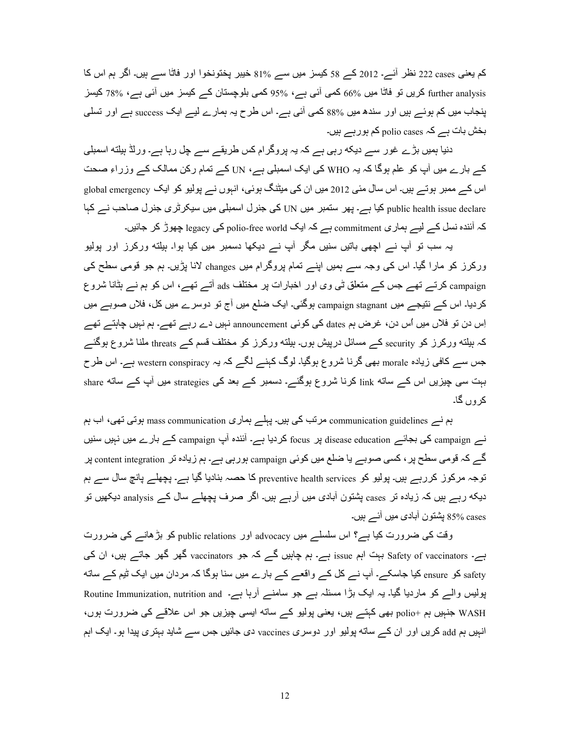کم یعنی cases 222 نظر آئے۔ 2012 کے 58 کیسز میں سے 81% خیبر پختونخوا اور فاٹا سے ہیں۔ اگر ہم اس کا further analysis كريں تو فاتا ميں 66% كمي آئي ہے، %95 كمي بلوچستان كے كيسز ميں آئي ہے، %78 كيسز پنجاب میں کم ہوئے ہیں اور سندھ میں %88 کمی آئی ہے۔ اس طرح یہ ہمارے لیے ایک success ہے اور تسلی بخش بات ہے polio cases کم ہور ہے ہیں۔

دنیا ہمیں بڑے غور سے دیکه رہی ہے کہ یہ پروگرام کس طریقے سے چل رہا ہے۔ ورلڈ ہیلته اسمبلی کے بارے میں آپ کو علم ہوگا کہ یہ WHO کی ایک اسمبلی ہے، UN کے تمام رکن ممالک کے وزراءِ صحت اس کے ممبر ہوتے ہیں۔ اس سال مئی 2012 میں ان کی میٹنگ ہوئی، انہوں نے پولیو کو ایک global emergency public health issue declare کیا ہے۔ پھر ستمبر میں UN کی جنرل اسمبلی میں سیکرٹری جنرل صاحب نے کہا کہ آئندہ نسل کے لیے رہاری commitment ہے کہ ایک polio-free world کی legacy چھوڑ کر جائیں۔

یہ سب تو آپ نے اچھی باتیں سنیں مگر آپ نے دیکھا دسمبر میں کیا ہوا۔ ہیلته ورکرز اور بولیو ورکرز کو مارا گیا۔ اس کی وجہ سے ہمیں اپنے تمام پروگرام میں changes لانا پڑیں۔ ہم جو قومی سطح کی campaign کرتے تھے جس کے متعلق ٹی وی اور اخبارات پر مختلف ads آتے تھے، اس کو ہم نے ہٹانا شروع کردیا۔ اس کے نتیجے میں campaign stagnant ہوگئی۔ ایک ضلع میں آج تو دوسرے میں کل، فلاں صوبے میں اِس دن تو فلاں میں اُس دن، غرض ہم dates کی کوئی announcement نہیں دے رہے تھے۔ ہم نہیں چاہتے تھے۔ کہ بیلته ورکرز کو security کے مسائل درپیش ہوں۔ ہیلته ورکرز کو مختلف قسم کے threats ملنا شروع ہوگئے جس سے کافی زیادہ morale بھی گرنا شروع ہوگیا۔ لوگ کہنے لگے کہ یہ western conspiracy ہے۔ اس طرح بہت سی چیزیں اس کے ساته link کرنا شروع ہوگئے۔ دسمبر کے بعد کی strategies میں آپ کے ساته share کر وں گا۔

ہم نے communication guidelines مرتب کی ہیں۔ یہلے ہماری mass communication ہوتی تھی، اب ہم نے campaign کی بجائے disease education پر focus کردیا ہے۔ آئندہ آپ campaign کے بارے میں نہیں سنیں گے کہ قومی سطح پر ، کسی صوبے یا ضلع میں کوئی campaign ہورہی ہے۔ ہم زیادہ تر content integration پر توجہ مرکوز کررہے ہیں۔ پولیو کو preventive health services کا حصہ بنادیا گیا ہے۔ پچھلے پانچ سال سے ہم دیکه رہے ہیں کہ زیادہ تر cases پشتون آبادی میں آرہے ہیں۔ اگر صرف پچھلے سال کے analysis دیکھیں تو cases 95% يشتون أبادي ميں أئے ہيں۔

وقت کی ضرورت کیا ہے؟ اس سلسلے میں advocacy اور public relations کو بڑھانے کی ضرورت ہے۔ Safety of vaccinators بہت اہم issue ہے۔ ہم چاہیں گے کہ جو vaccinators گھر گھر جاتے ہیں، ان کی safety کو ensure کیا جاسکے۔ آپ نے کل کے واقعے کے بارے میں سنا ہوگا کہ مردان میں ایک ٹیم کے ساته پولیس والے کو ماردیا گیا۔ یہ ایک بڑا مسئلہ ہے جو سامنے آرہا ہے۔ Routine Immunization, nutrition and wASH جذبیں ہم +polio بھی کہتے ہیں، یعنی پولیو کے ساته ایسی چیزیں جو اس علاقے کی ضرورت ہوں، انہیں ہم add کریں اور ان کے ساته پولیو اور دوسری vaccines دی جائیں جس سے شاید بہتری پیدا ہو۔ ایک اہم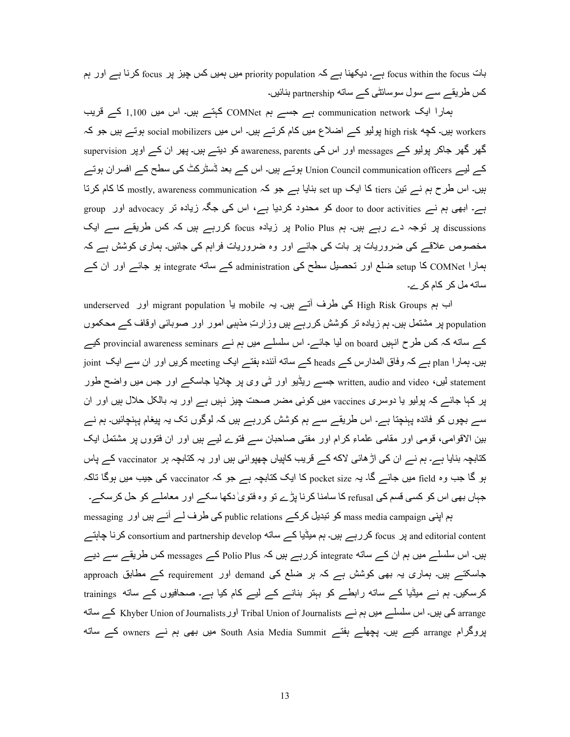بات focus within the focus ہے۔ دیکھنا ہے کہ priority population میں ہمیں کس چیز پر focus کرنا ہے اور ہم کس طریقہ سے سول سوسائٹی کے ساته partnership بنائیں۔

ہمارا ایک communication network ہے جسے ہے COMNet کہتے ہیں۔ اس میں 1,100 کے قریب workers ہیں۔ کچه high risk پولیو کے اضلاع میں کام کرتے ہیں۔ اس میں social mobilizers ہوتے ہیں جو کہ گھر گھر جاکر پولیو کے messages اور اس کی awareness, parents کو دیتے ہیں۔ پھر ان کے اوپر supervision کے لیے Union Council communication officers ہوتے ہیں۔ اس کے بعد ڈسٹرکٹ کی سطح کے افسران ہوتے بیں۔ اس طرح ہم نے تین tiers کا ایک set up بنایا ہے جو کہ mostly, awareness communication کا کام کرتا ہے۔ ابھی ہم نے door to door activities کو محدود کردیا ہے، اس کی جگہ زیادہ تر advocacy اور group discussions پر توجہ دے رہے ہیں۔ ہم Polio Plus پر زیادہ focus کررہے ہیں کہ کس طریقے سے ایک مخصوص علاقے کی ضروریات پر بات کی جائے اور وہ ضروریات فراہم کی جائیں۔ ہماری کوشش ہے کہ ہمارا cOMNet کا setup ضلع اور تحصیل سطح کی administration کے ساته integrate ہو جائے اور ان کے ساته مل کر کام کرے۔

اب ہم High Risk Groups کی طرف آتے ہیں۔ یہ mobile یا migrant population اور underserved population پر مشتمل ہیں۔ ہم زیادہ تر کوشش کر رہے ہیں وزارتِ مذہبی امور اور صوبائی اوقاف کے محکموں کے ساته کہ کس طرح انہیں on board لیا جائے۔ اس سلسلے میں ہم نے provincial awareness seminars کیے ہیں۔ ہمارا plan ہے کہ وفاق المدارس کے heads کے ساته آئندہ ہفتے ایک meeting کریں اور ان سے ایک joint statement لیں، written, audio and video جسے ریڈیو اور ٹی وی پر چلایا جاسکے اور جس میں واضح طور پر کہا جائے کہ پولیو یا دوسری vaccines میں کوئی مضر صحت چیز نہیں ہے اور یہ بالکل حلال ہیں اور ان سے بچوں کو فائدہ بہنچتا ہے۔ اس طریقے سے ہم کوشش کررہے ہیں کہ لوگوں تک یہ بیغام بہنچائیں۔ ہم نے بین الاقوامی، قومی اور مقامی علماءِ کرام اور مفتی صاحبان سے فتوے لیے ہیں اور ان فتووں پر مشتمل ایک کتابچہ بنایا ہے۔ ہم نے ان کی اڑ ھائی لاکه کے قریب کاپیاں چھپوائی ہیں اور یہ کتابچہ ہر vaccinator کے پاس ہو گا جب وہ field میں جائے گا۔ یہ pocket size کا ایک کتابچہ ہے جو کہ vaccinator کی جیب میں ہوگا تاکہ جباں بھی اس کو کسی قسم کی refusal کا سامنا کرنا پڑے تو وہ فتویٰ دکھا سکے اور معاملے کو حل کرسکے۔ ہم اپنی mass media campaign کو تبدیل کرکے public relations کی طرف لے آئے ہیں اور messaging

and editorial content پر focus کررہے ہیں۔ ہم میڈیا کے ساته consortium and partnership develop کرنا چاہتے بیں۔ اس سلسلے میں ہم ان کے ساته integrate کررہے ہیں کہ Polio Plus کے messages کس طریقے سے دیے جاسکتے بیں۔ ہماری یہ بھی کوشش ہے کہ ہر ضلع کی demand اور requirement کے مطابق approach کرسکیں۔ ہم نے میڈیا کے ساته رابطے کو بہتر بنانے کے لیے کام کیا ہے۔ صحافیوں کے ساته trainings arrange کی بیں۔ اس سلسلے میں ہم نے Tribal Union of Journalists اور Khyber Union of Journalists کے ساته پروگرام arrange کیے ہیں۔ پچھلے ہفتے South Asia Media Summit میں بھی ہم نے owners کے ساته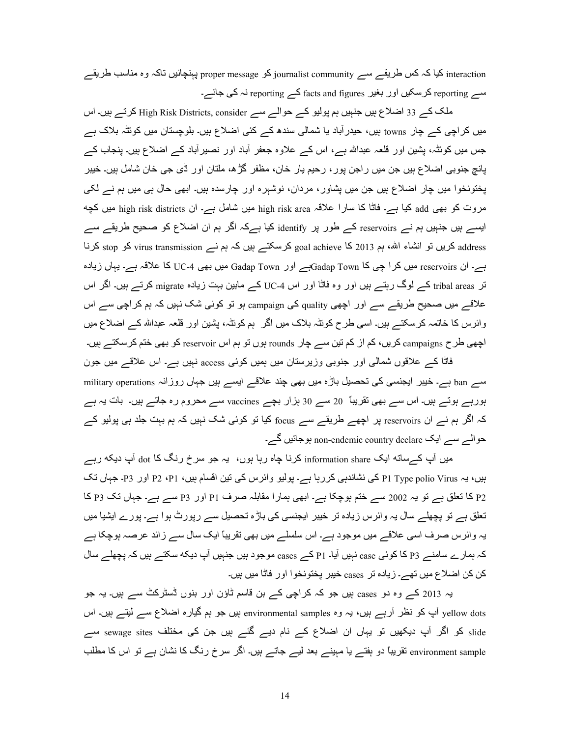interaction کیا کہ کس طریقے سے journalist community کو proper message پہنچائیں تاکہ وہ مناسب طریقے سے reporting کرسکیں اور بغیر facts and figures کے reporting نہ کی جائے۔

ملک کے 33 اضلاع ہیں جنہیں ہم پولیو کے حوالے سے High Risk Districts, consider کرتے ہیں۔ اس میں کراچی کے چار towns ہیں، حیدرآباد یا شمالی سندھ کے کئی اضلاع ہیں۔ بلوچستان میں کوئٹہ بلاک ہے جس میں کوئٹہ، پشین اور قلعہ عبداللہ ہے، اس کے علاوہ جعفر آباد اور نصیرآباد کے اضلاع ہیں۔ پنجاب کے يانچ جنوبي اضلاع ٻيں جن ميں راجن پور ، رحيم پار خان، مظفر گڑھ، ملتان اور ڈي جي خان شامل ہيں۔ خيبر پختونخوا میں چار اضلاع ہیں جن میں پشاور، مردان، نوشہرہ اور چارسدہ ہیں۔ ابھی حال ہی میں ہم نے لکی مروت کو بھی add کیا ہے۔ فاٹا کا سارا علاقہ high risk area میں شامل ہے۔ ان high risk districts میں کچه ایسے ہیں جنہیں ہم نے reservoirs کے طور پر identify کیا ہےکہ اگر ہم ان اضلاع کو صحیح طریقے سے address کریں تو انشاء الله، ہم 2013 کا goal achieve کرسکتے ہیں کہ ہم نے virus transmission کو stop کرنا ہے۔ ان reservoirs میں کرا چی کا Gadap Townہے اور Gadap Town میں بھی UC-4 کا علاقہ ہے۔ یہاں زیادہ تر tribal areas کے لوگ رہتے ہیں اور وہ فاٹا اور اس LC-4 کے مابین بہت زیادہ migrate کرتے ہیں۔ اگر اس علاقے میں صحیح طریقے سے اور اچھی quality کی campaign بو تو کوئی شک نہیں کہ ہم کراچی سے اس وائرس کا خاتمہ کر سکتے ہیں۔ اسی طرح کوئٹہ بلاک میں اگر ِ ہم کوئٹہ، پشین اور ِ قلعہ عبداللہ کے اضلاع میں اچھی طرح campaigns کریں، کم از کم تین سے چار rounds ہوں تو ہم اس reservoir کو بھی ختم کرسکتے ہیں۔

فاٹا کہ علاقوں شمالی اور جنوبی وزیرستان میں ہمیں کوئی access نہیں ہے۔ اس علاقے میں جون سے ban ہے۔ خیبر ایجنسی کی تحصیل باڑہ میں بھی چند علاقے ایسے ہیں جہاں روزانہ military operations ہورہے ہوتے ہیں۔ اس سے بھی تقریباً 20 سے 30 ہزار بچے vaccines سے محروم رہ جاتے ہیں۔ بات یہ ہے کہ اگر ہم نے ان reservoirs پر اچھے طریقے سے focus کیا تو کوئی شک نہیں کہ ہم بہت جلد ہی پولیو کے حوالے سے ایک non-endemic country declare ہوجائیں گے۔

میں آپ کےساته ایک information share کرنا چاہ رہا ہوں، یہ جو سرخ رنگ کا dot آپ دیکه رہے ہیں، یہ P1 Type polio Virus کی نشاندہی کررہا ہے۔ پولیو وائرس کی تین اقسام ہیں، P2 ،P1 اور P3۔ جہاں تک P2 کا تعلق ہے تو یہ 2002 سے ختم ہوچکا ہے۔ ابھی ہمارا مقابلہ صرف P1 اور P3 سے ہے۔ جہاں تک P3 کا تعلق ہے تو پچھلے سال یہ وائرس زیادہ تر خیبر ایجنسی کی باڑہ تحصیل سے رپورٹ ہوا ہے۔ پورے ایشیا میں یہ وائرس صرف اسی علاقے میں موجود ہے۔ اس سلسلے میں بھی تقریباً ایک سال سے زائد عرصہ ہوچکا ہے کہ ہمارے سامنے P3 کا کوئی case نہیں آیا۔ P1 کے cases موجود ہیں جنہیں آپ دیکه سکتے ہیں کہ پچھلے سال كن كن اضلاع ميں تهــــر : لياده تر cases خيبر يختونخو ا اور فاتا ميں ہيں۔

یہ 2013 کے وہ دو cases ہیں جو کہ کراچی کے بن قاسم ٹاؤن اور بنوں ٹسٹرکٹ سے ہیں۔ یہ جو yellow dots آپ کو نظر آرہے ہیں، یہ وہ environmental samples بیں جو ہم گیارہ اضلاع سے لیتے ہیں۔ اس slide کو اگر آپ دیکھیں تو یہاں ان اضلاع کے نام دیے گئے ہیں جن کی مختلف sewage sites سے environment sample نقریباً دو ہفتے یا مہینے بعد لیے جاتے ہیں۔ اگر سرخ رنگ کا نشان ہے تو اس کا مطلب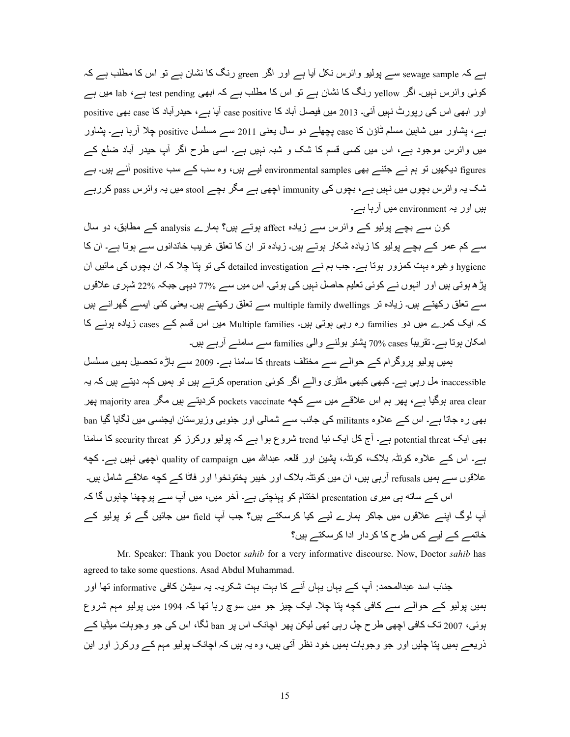ہے کہ sewage sample سے پولیو وائرس نکل آیا ہے اور اگر green رنگ کا نشان ہے تو اس کا مطلب ہے کہ کوئی وائرس نہیں۔ اگر yellow رنگ کا نشان ہے تو اس کا مطلب ہے کہ ابھی test pending ہے، lab میں ہے اور ابھی اس کی رپورٹ نہیں آئی۔ 2013 میں فیصل آباد کا case positive آیا ہے، حیدرآباد کا case بھی positive ہے، پشاور میں شاہین مسلم ثاؤن کا case پچھلے دو سال یعنی 2011 سے مسلسل positive چلا أرہا ہے۔ پشاور میں وائرس موجود ہے، اس میں کسی قسم کا شک و شبہ نہیں ہے۔ اسی طرح اگر آپ حیدر آباد ضلع کے figures دیکھیں تو ہم نسر جتنسر بھی environmental samples لیسر ہیں، وہ سب کسر سب positive آئسر ہیں۔ بسر شک یہ وائرس بچوں میں نہیں ہے، بچوں کی immunity اچھی ہے مگر بچے stool میں یہ وائرس pass کررہے ہیں اور یہ environment میں آرہا ہے۔

کون سے بچے پولیو کے وائرس سے زیادہ affect ہوتے ہیں؟ ہمارے analysis کے مطابق، دو سال سے کم عمر کے بچے پولیو کا زیادہ شکار ہوتے ہیں۔ زیادہ تر ان کا تعلق غریب خاندانوں سے ہوتا ہے۔ ان کا hygiene و غیر ہ بہت کمزور ہوتا ہے۔ جب ہم نے detailed investigation کی تو پتا چلا کہ ان بچوں کی مائیں ان پڑ ہ ہوتی ہیں اور انہوں نے کوئی تعلیم حاصل نہیں کی ہوتی۔ اس میں سے 77% دیہی جبکہ 22% شہر ی علاقوں سے تعلق رکھتے ہیں۔ زیادہ تر multiple family dwellings سے تعلق رکھتے ہیں۔ یعنی کئی ایسے گھرانے ہیں کہ ایک کمرے میں دو families رہ رہی ہوتی ہیں۔ Multiple families میں اس قسم کے cases زیادہ ہونے کا امکان ہوتا ہے۔ تقریباً cases %70 پشتو بولنے والی families سے سامنے أرہے ہیں۔

بمیں پولیو پروگرام کے حوالے سے مختلف threats کا سامنا ہے۔ 2009 سے باڑہ تحصیل ہمیں مسلسل inaccessible مل رہی ہے۔ کبھی کبھی ملٹری والے اگر کوئی operation کرتے ہیں تو ہمیں کہہ دیتے ہیں کہ یہ area clear ہوگیا ہے، پھر ہم اس علاقے میں سے کچه pockets vaccinate کردیتے ہیں مگر majority area پھر بھی رہ جاتا ہے۔ اس کے علاوہ militants کی جانب سے شمالی اور جنوبی وزیر ستان ایجنسی میں لگایا گیا ban بھی ایک potential threat ہے۔ آج کل ایک نیا trend شروع ہوا ہے کہ پولیو ورکرز کو security threat کا سامنا ہے۔ اس کے علاوہ کوئٹہ بلاک، کوئٹہ، پشین اور فلعہ عبداللہ میں quality of campaign اچھی نہیں ہے۔ کچه علاقوں سے ہمیں refusals آرہی ہیں، ان میں کوئٹہ بلاک اور خیبر پختونخوا اور فاٹا کے کچه علاقے شامل ہیں۔ اس کے ساته ہی میری presentation اختتام کو پہنچتی ہے۔ آخر میں، میں آپ سے پوچھنا چاہوں گا کہ آپ لوگ اپنے علاقوں میں جاکر ہمارے لیے کیا کرسکتے ہیں؟ جب آپ field میں جائیں گے تو پولیو کے خاتمے کے لیے کس طرح کا کردار ادا کرسکتے ہیں؟

 Mr. Speaker: Thank you Doctor *sahib* for a very informative discourse. Now, Doctor *sahib* has agreed to take some questions. Asad Abdul Muhammad.

جناب اسد عبدالمحمد: آپ کے یہاں یہاں آنے کا بہت بہت شکریہ۔ یہ سیشن کافی informative تھا اور ہمیں پولیو کے حوالے سے کافی کچه پنا چلا۔ ایک چیز جو میں سوچ رہا تھا کہ 1994 میں پولیو مہم شروع بوئے، 2007 تک کافی اچھی طرح جل رہی تھی لیکن پھر اچانک اس پر ban لگا، اس کی جو وجوہات میڈیا کے ذریعے ہمیں یتا چلیں اور جو وجوہات ہمیں خود نظر آتی ہیں، وہ یہ ہیں کہ اچانک پولیو مہم کے ورکرز اور این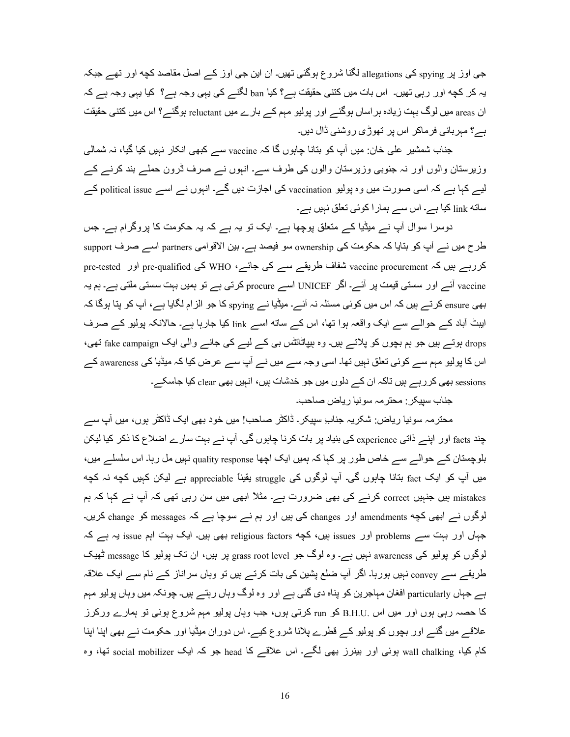جی اوز پر spying کی allegations لگنا شروع ہوگئی تھیں۔ ان این جی اوز کے اصل مقاصد کچه اور تھے جبکہ یہ کر کچه اور رہی تھیں۔ اس بات میں کتنی حقیقت ہے؟ کیا ban لگنے کی یہی وجہ ہے؟ کیا یہی وجہ ہے کہ ان areas میں لوگ بہت زیادہ ہر اساں ہوگئے اور پولیو مہم کے بارے میں reluctant ہوگئے؟ اس میں کتنی حقیقت ہے؟ مہر بانی فرماکر اس پر تھوڑی روشنی ڈال دیں۔

جناب شمشیر علی خان ِ میں آپ کو بنانا چاہوں گا کہ vaccine سے کبھی انکار نہیں کیا گیا، نہ شمالی وزیرستان والوں اور نہ جنوبی وزیرستان والوں کی طرف سے۔ انبوں نے صرف ڈرون حملے بند کرنے کے لیے کہا ہے کہ اسی صورت میں وہ پولیو vaccination کی اجازت دیں گے۔ انہوں نے اسے political issue کے ساته link کیا ہے۔ اس سے ہمارا کوئی تعلق نہیں ہے۔

دوسرا سوال آپ نے میٹیا کے متعلق پوچھا ہے۔ ایک تو یہ ہے کہ یہ حکومت کا پروگرام ہے۔ جس طرح میں نے آپ کو بتایا کہ حکومت کی ownership سو فیصد ہے۔ بین الاقوامی partners اسے صرف support کررہے ہیں کہ vaccine procurement شفاف طریقے سے کی جائے، WHO کی pre-tested اور pre-tested vaccine آئس اور سستی قیمت پر آئسے۔ اگر UNICEF اسسے procure کرتی ہے تو ہمیں بہت سستی ملتی ہے۔ ہم یہ بھی ensure کرتے ہیں کہ اس میں کوئی مسئلہ نہ آئے۔ میڈیا نے spying کا جو الزام لگایا ہے، آپ کو پتا ہوگا کہ ایبٹ آباد کے حوالے سے ایک واقعہ ہوا تھا، اس کے ساته اسے link کیا جارہا ہے۔ حالانکہ بولیو کے صرف drops ہوتے ہیں جو ہم بچوں کو پلاتے ہیں۔ وہ ہیپاٹائٹس بی کے لیے کی جانے والی ایک fake campaign تھی، اس کا پولیو مہم سے کوئی تعلق نہیں تھا۔ اسی وجہ سے میں نے آپ سے عرض کیا کہ میڈیا کی awareness کے sessions بھی کرر ہے ہیں تاکہ ان کے دلوں میں جو خدشات ہیں، انہیں بھی clear کیا جاسکے۔ جناب سبیکر : محتر مہ سونیا ریاض صاحب۔

محتر مہ سونیا ر پاض: شکر یہ جنابِ سیپکر ۔ ڈاکٹر ۔صاحب! میں خود بھی ایک ڈاکٹر ہوں، میں آپ سے چند facts اور اپنے ذاتی experience کی بنیاد پر بات کرنا چاہوں گی۔ آپ نے بہت سارے اضلاع کا ذکر کیا لیکن بلوچستان کے حوالے سے خاص طور پر کہا کہ ہمیں ایک اچھا quality response نہیں مل رہا۔ اس سلسلے میں، میں آپ کو ایک fact بتانا چاہوں گی۔ آپ لوگوں کی struggle پقیناً appreciable ہے لیکن کہیں کچه نہ کچه mistakes ہیں جنہیں correct کرنے کی بھی ضرورت ہے۔ مثلاً ابھی میں سن رہی تھی کہ آپ نے کہا کہ ہم لوگوں نے ابھی کچه amendments اور changes کی ہیں اور ہم نے سوچا ہے کہ messages کو change کریں۔ جہاں اور بہت سے problems اور issues ہیں، کچه religious factors بھی ہیں۔ ایک بہت اہم issue یہ ہے کہ لوگوں کو پولیو کی awareness نہیں ہے۔ وہ لوگ جو grass root level پر ہیں، ان تک پولیو کا message ٹھیک طریقے سے convey نہیں ہورہا۔ اگر آپ ضلع پشین کی بات کرتے ہیں تو وہاں سراناز کے نام سے ایک علاقہ ہے جہاں particularly افغان مہاجرین کو پناہ دی گئی ہے اور وہ لوگ وہاں رہتے ہیں۔ چونکہ میں وہاں پولیو مہم کا حصہ رہی ہوں اور میں اس .B.H.U کو run کرتی ہوں، جب وہاں پولیو مہم شروع ہوئی تو ہمارے ورکرز علاقے میں گئے اور بچوں کو پولیو کے قطرے پلانا شروع کیے۔ اس دوران میڈیا اور حکومت نے بھی اپنا اپنا کام کیا، wall chalking ہوئی اور بینرز بھی لگے۔ اس علاقے کا head جو کہ ایک social mobilizer تھا، وہ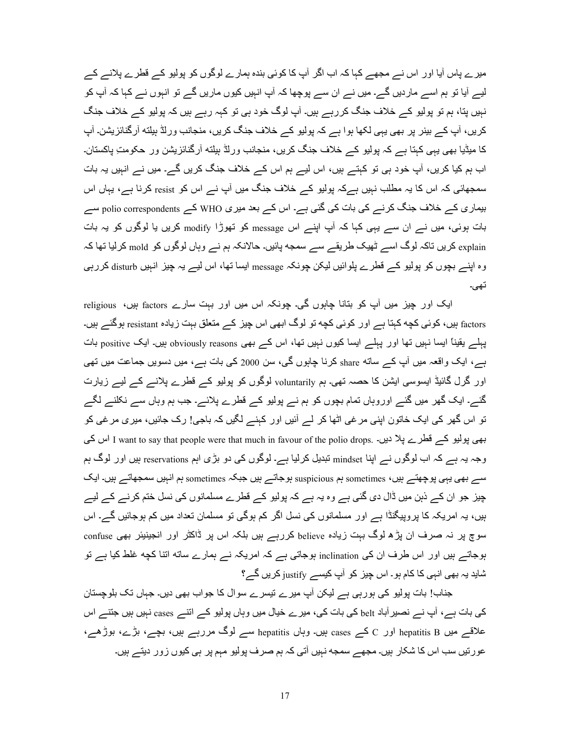میرے پاس آیا اور اس نے مجھے کہا کہ اب اگر آپ کا کوئی بندہ ہمارے لوگوں کو پولیو کے قطرے پلانے کے لیے آیا تو ہم اسے ماردیں گے۔ میں نے ان سے پوچھا کہ آپ انہیں کیوں ماریں گے تو انہوں نے کہا کہ آپ کو نہیں پتا، ہم تو پولیو کے خلاف جنگ کررہے ہیں۔ آپ لوگ خود ہی تو کہہ رہے ہیں کہ پولیو کے خلاف جنگ کریں، آپ کے بینر پر بھی یہی لکھا ہوا ہے کہ پولیو کے خلاف جنگ کریں، منجانب ورلڈ ہیلته آرگنائزیشن۔ آپ کا میڈیا بھی یہی کہتا ہے کہ پولیو کے خلاف جنگ کریں، منجانب ورلڈ بیلته آرگنائزیشن ور حکومتِ پاکستان۔ اب ہم کیا کریں، آپ خود ہی تو کہتے ہیں، اس لیے ہم اس کے خلاف جنگ کریں گے۔ میں نے انہیں یہ بات سمجھائی کہ اس کا یہ مطلب نہیں ہےکہ پولیو کے خلاف جنگ میں آپ نے اس کو resist کرنا ہے، یہاں اس بیماری کے خلاف جنگ کرنے کی بات کی گئی ہے۔ اس کے بعد میری WHO کے polio correspondents سے بات ہوئی، میں نے ان سے یہی کہا کہ آپ اپنے اس message کو تھوڑا modify کریں یا لوگوں کو یہ بات explain کریں تاکہ لوگ اسے ٹھیک طریقے سے سمجه پائیں۔ حالانکہ ہم نے وہاں لوگوں کو mold کرلیا تھا کہ وہ اپنے بچوں کو پولیو کے قطرے پلوائیں لیکن چونکہ message ایسا تھا، اس لیے یہ چیز انہیں disturb کررہی تھی۔

ایک اور چیز میں آپ کو بتانا چاہوں گی۔ چونکہ اس میں اور بہت سارے factors ہیں، religious factors ہیں، کوئی کچه کہِتا ہے اور کوئی کچه تو لوگ ابھی اس چیز کے متعلق بہت زیادہ resistant ہوگئے ہیں۔ پہلے یقیناً ایسا نہیں تھا اور پہلے ایسا کیوں نہیں تھا، اس کے بھی obviously reasons ہیں۔ ایک positive بات ہے، ایک واقعہ میں آپ کے ساته share کرنا چاہوں گی، سن 2000 کی بات ہے، میں دسویں جماعت میں تھی اور گرل گائیڈ ایسوسی ایشن کا حصہ تھی۔ ہم voluntarily لوگوں کو پولیو کے قطرے پلانے کے لیے زیارت گئے۔ ایک گھر میں گئے اوروہاں تمام بچوں کو ہم نے پولیو کے قطرے پلائے۔ جب ہم وہاں سے نکلنے لگے تو اس گھر کی ایک خاتون اپنی مرغی اٹھا کر لے آئیں اور کہنے لگیں کہ باجی! رک جائیں، میری مرغی کو اس کی I want to say that people were that much in favour of the polio drops. اس کی وجہ یہ ہے کہ اب لوگوں نے اپنا mindset تبدیل کرلیا ہے۔ لوگوں کی دو بڑی اہم reservations ہیں اور لوگ ہم سے بھی یہی پوچھتے ہیں، sometimes ہم suspicious ہوجاتے ہیں جبکہ sometimes ہم انہیں سمجھاتے ہیں۔ ایک چیز جو ان کے ذہن میں ڈال دی گئی ہے وہ یہ ہے کہ پولیو کے قطرے مسلمانوں کی نسل ختم کرنے کے لیے ہیں، یہ امریکہ کا پروپیگنڈا ہے اور مسلمانوں کی نسل اگر کم ہوگی تو مسلمان تعداد میں کم ہوجائیں گے۔ اس سوچ پر نہ صرف ان پڑھ لوگ بہت زیادہ believe کررہے ہیں بلکہ اس پر ڈاکٹر اور انجینیئر بھی confuse ہوجاتے ہیں اور اس طرف ان کی inclination ہوجاتی ہے کہ امریکہ نے ہمارے ساته اتنا کچه غلط کیا ہے تو شاید یہ بھی انہی کا کام ہو۔ اس چیز کو آپ کیسے justify کریں گے؟

جناب! بات پولیو کی ہورہی ہے لیکن آپ میرے نیسرے سوال کا جواب بھی دیں۔ جہاں تک بلوچستان کی بات ہے، آپ نے نصیر آباد belt کی بات کی، میرے خیال میں وہاں پولیو کے انتے cases نہیں ہیں جتنے اس علاقے میں hepatitis B اور C کے cases ہیں۔ وہاں hepatitis سے لوگ مررہے ہیں، بچے، بڑے، بوڑھے، عور تیں سب اس کا شکار ہیں۔ مجھے سمجه نہیں آتی کہ ہم صرف پولیو مہم پر ہی کیوں زور دیتے ہیں۔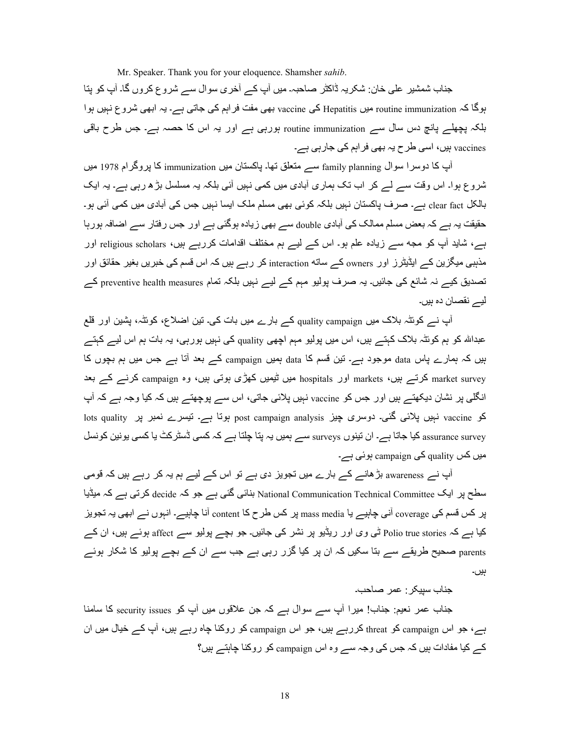Mr. Speaker. Thank you for your eloquence. Shamsher *sahib*.

جناب شمشیر علٰی خان: شکریہ ڈاکٹر صاحبہ۔ میں آپ کے آخری سوال سے شروع کروں گا۔ آپ کو پنا ہوگا کہ routine immunization میں Hepatitis کی vaccine بھی مفت فراہم کی جاتی ہے۔ یہ ابھی شروع نہیں ہوا بلکہ پچھلے پانچ دس سال سے routine immunization ہورہی ہے اور یہ اس کا حصہ ہے۔ جس طرح باقی vaccines ہیں، اسی طرح یہ بھی فر اہم کی جارہی ہے۔

آب کا دوسرا سوال family planning سے منعلق تھا۔ باکستان میں immunization کا بروگرام 1978 میں شروع ہوا۔ اس وقت سے لے کر اب تک ہماری آبادی میں کمی نہیں آئی بلکہ یہ مسلسل بڑھ رہی ہے۔ یہ ایک بالکل clear fact ہے۔ صرف پاکستان نہیں بلکہ کوئی بھی مسلم ملک ایسا نہیں جس کی آبادی میں کمی آئی ہو۔ حقیقت یہ ہے کہ بعض مسلم ممالک کی آبادی double سے بھی زیادہ ہوگئی ہے اور جس رفتار سے اضافہ ہورہا ہے، شاید آپ کو مجه سے زیادہ علم ہو۔ اس کے لیے ہم مختلف اقدامات کررہے ہیں، religious scholars اور مذہبی میگزین کے ایڈیٹرز اور owners کے ساته interaction کر رہے ہیں کہ اس قسم کی خبریں بغیر حقائق اور تصدیق کیے نہ شائع کی جائیں۔ یہ صرف پولیو مہم کے لیے نہیں بلکہ تمام preventive health measures کے لیے نقصان دہ ہیں۔

آپ نے کوئٹہ بلاک میں quality campaign کے بارے میں بات کی۔ تین اضلاع، کوئٹہ، پشین اور قلع عبداللہ کو ہم کوئٹہ بلاک کہتے ہیں، اس میں پولیو مہم اچھی quality کی نہیں ہورہی، یہ بات ہم اس لیے کہتے بیں کہ ہمارے پاس data موجود ہے۔ تین قسم کا data ہمیں campaign کے بعد آتا ہے جس میں ہم بچوں کا markets کرتے ہیں، markets اور hospitals میں ٹیمیں کھڑی ہوتی ہیں، وہ campaign کرنے کے بعد انگلی پر نشان دیکھتے ہیں اور جس کو vaccine نہیں پلائی جاتی، اس سے پوچھتے ہیں کہ کیا وجہ ہے کہ آپ کو vaccine نہیں پلائی گئی۔ دوسری چیز post campaign analysis ہوتا ہے۔ تیسرے نمبر پر lots quality assurance surveys کیا جاتا ہے۔ ان تینوں surveys سے ہمیں یہ پتا چلتا ہے کہ کسی ڈسٹر کٹ یا کسی یونین کونسل میں کس quality کی campaign ہوئی ہے۔

آپ نے awareness بڑھانے کے بارے میں تجویز دی ہے تو اس کے لیے ہم یہ کر رہے ہیں کہ قومی سطح پر ایک National Communication Technical Committee ہنائی گئی ہے جو کہ decide کرتی ہے کہ میڈیا پر کس قسم کی coverage آنی چاہیے یا mass media پر کس طرح کا content آنا چاہیے۔ انہوں نے ابھی یہ تجویز کیا ہے کہ Polio true stories ٹی وی اور ریڈیو پر نشر کی جائیں۔ جو بچے پولیو سے affect ہوئے ہیں، ان کے parents صحیح طریقے سے بتا سکیں کہ ان پر کیا گزر رہی ہے جب سے ان کے بچے پولیو کا شکار ہوئے ہیں۔

جناب سیبکر و عمر صباحیت

جناب عمر نعیم: جناب! میرا آپ سے سوال ہے کہ جن علاقوں میں آپ کو security issues کا سامنا ہے، جو اس campaign کو threat کررہے ہیں، جو اس campaign کو روکنا چاہ رہے ہیں، آپ کے خیال میں ان کے کیا مفادات ہیں کہ جس کی وجہ سے وہ اس campaign کو روکنا جاہتے ہیں؟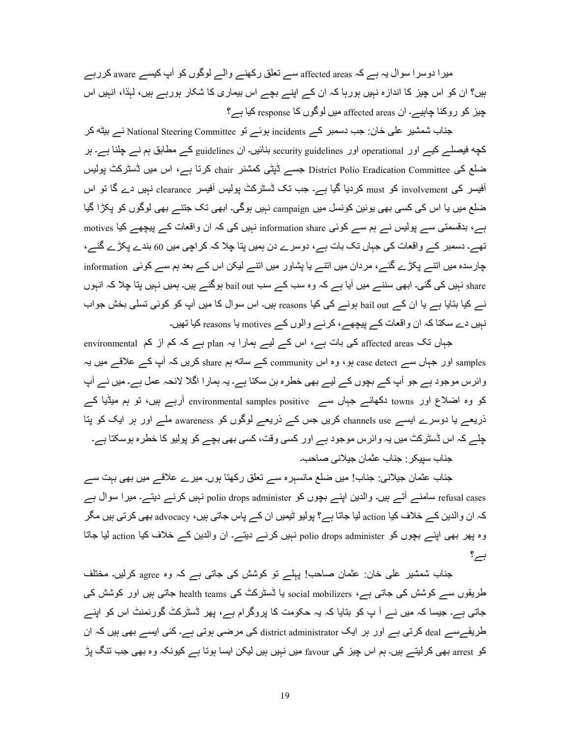میر ا دوسر ا سوال یہ ہے کہ affected areas سے تعلق رکھنے والے لوگوں کو آپ کیسے aware کررہے ہیں؟ ان کو اس چیز کا اندازہ نہیں ہورہا کہ ان کے اپنے بچے اس بیماری کا شکار ہورہے ہیں، لہٰذا، انہیں اس چیز کو روکنا چاہیے۔ ان affected areas میں لوگوں کا response کیا ہے؟

جناب شمشیر علی خان: جب دسمبر کے incidents ہوئے تو National Steering Committee نے بیٹه کر کچه فیصلے کیے اور operational اور security guidelines بنائیں۔ ان guidelines کے مطابق ہم نے چلنا ہے۔ ہر ضلع کی District Polio Eradication Committee جسے ڈپٹی کمشنر chair کرتا ہے، اس میں ڈسٹرکٹ پولیس آفیسر کی involvement کو must کردیا گیا ہے۔ جب نک ڈسٹرکٹ پولیس آفیسر clearance نہیں دے گا تو اس ضلع میں یا اس کی کسی بھی یونین کونسل میں campaign نہیں ہوگی۔ ابھی تک جتنے بھی لوگوں کو پکڑا گیا ہے، بدقسمتی سے پولیس نے ہم سے کوئی information share نہیں کی کہ ان واقعات کے پیچھے کیا motives تھے۔ دسمبر کے واقعات کی جہاں تک بات ہے، دوسرے دن ہمیں پتا چلا کہ کر اچی میں 60 بندے پکڑے گئے، چارسدہ میں انتـــر پکڑے گئـــر، مردان میں انتـــر یا پشاور میں انتـــر لیکن اس کـــر بعد ہم ســـر کوئي information share نہیں کی گئی۔ ابھی سننے میں آیا ہے کہ وہ سب کے سب bail out ہوگئے ہیں۔ ہمیں نہیں پتا چلا کہ انہوں نے کیا بتایا ہے یا ان کے bail out ہونے کی کیا reasons ہیں۔ اس سوال کا میں آپ کو کوئی تسلی بخش جواب نبیں دے سکتا کہ ان واقعات کے پیچھے، کرنے والوں کے motives یا reasons کیا تھیں۔

جہاں تک affected areas کی بات ہے، اس کے لیے ہمارا یہ plan ہے کہ کم از کم environmental samples اور جہاں سے case detect ہو ، وہ اس community کے ساته ہم share کریں کہ آپ کے علاقے میں یہ وائرس موجود ہے جو آپ کے بچوں کے لیے بھی خطرہ بن سکتا ہے۔ یہ ہمارا اگلا لائحہ عمل ہے۔ میں نے آپ کو وہ اضلاع اور towns دکھائے جہاں سے environmental samples positive آرہے ہیں، تو ہم میڈیا کے ذریعہ یا دوسرے ایسہ channels use کریں جس کہ ذریعہ لوگوں کو awareness ملہ اور ہر ایک کو پنا چلے کہ اس ڈسٹرکٹ میں یہ وائرس موجود ہے اور کسی وقت، کسی بھی بچے کو پولیو کا خطرہ ہوسکتا ہے۔ جناب سبيكر : جناب عثمان جيلاني صاحب۔

جناب عثمان جیلانی: جناب! میں ضلع مانسہرہ سے تعلق رکھتا ہوں۔ میرے علاقے میں بھی بہت سے refusal cases سامنے آتے ہیں۔ والدین اپنے بچوں کو polio drops administer نہیں کرنے دیتے۔ میرا سوال ہے کہ ان والدین کے خلاف کیا action لیا جاتا ہے؟ پولیو ٹیمیں ان کے پاس جاتی ہیں، advocacy بھی کرتی ہیں مگر وہ پھر بھی اپنے بچوں کو polio drops administer نہیں کرنے دیتے۔ ان والدین کے خلاف کیا action لیا جاتا  $\sum$ 

جناب شمشیر علی خان: عثمان صاحب! پہلے تو کوشش کی جاتی ہے کہ وہ <sub>agree</sub> کرلیں۔ مختلف طریقوں سے کوشش کی جاتی ہے، social mobilizers یا ڈسٹرکٹ کی health teams جاتی ہیں اور کوشش کی جاتی ہے۔ جیسا کہ میں نے آ پ کو بتایا کہ یہ حکومت کا پروگرام ہے، پھر ڈسٹرکٹ گورنمنٹ اس کو اپنے طریقہسہ deal کرتی ہے اور ہر ایک district administrator کی مرضی ہوتی ہے۔ کئی ایسے بھی ہیں کہ ان کو arrest بھی کرلیتے ہیں۔ ہم اس چیز کی favour میں نہیں ہیں لیکن ایسا ہوتا ہے کیونکہ وہ بھی جب تنگ پڑ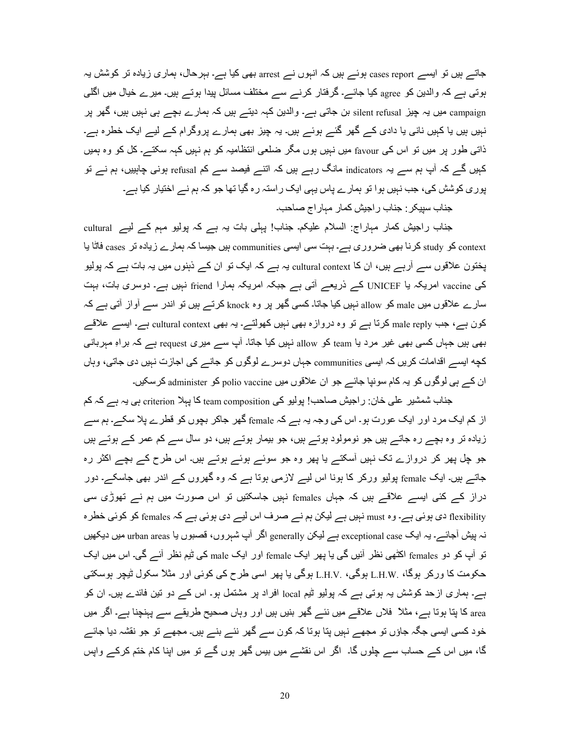جاتے ہیں تو ایسے cases report ہوئے ہیں کہ انہوں نے arrest بھی کیا ہے۔ بہرحال، ہماری زیادہ تر کوشش یہ ہوتی ہے کہ والدین کو agree کیا جائے۔ گرفتار کرنے سے مختلف مسائل پیدا ہوتے ہیں۔ میرے خیال میں اگلی campaign میں یہ چیز silent refusal بن جاتی ہے۔ والدین کہہ دیتے ہیں کہ ہمارے بچے ہی نہیں ہیں، گھر پر نہیں ہیں یا کہیں نانی یا دادی کے گھر گئے ہوئے ہیں۔ یہ چیز بھی ہمارے پروگرام کے لیے ایک خطرہ ہے۔ ذاتی طور پر میں تو اس کی favour میں نہیں ہوں مگر ضلعی انتظامیہ کو ہم نہیں کہہ سکتے۔ کل کو وہ ہمیں کہیں گے کہ آپ ہم سے یہ indicators مانگ رہے ہیں کہ اتنے فیصد سے کم refusal ہونی چاہییں، ہم نے تو پور ی کوشش کی، جب نہیں ہوا تو ہمارے پاس یہی ایک راستہ رہ گیا تھا جو کہ ہم نے اختیار کیا ہے۔

جناب سپیکر : جناب راجیش کمار مباراج صاحب۔

جناب راجیش کمار مہاراج: السلام علیکم۔ جناب! پہلی بات یہ ہے کہ پولیو مہم کے لیے cultural context کو study کرنا بھی ضروری ہے۔ بہت سی ایسی communities ہیں جیسا کہ ہمارے زیادہ تر cases فاٹا یا پختون علاقوں سے آرہے ہیں، ان کا cultural context یہ ہے کہ ایک تو ان کے ذہنوں میں یہ بات ہے کہ پولیو کی vaccine امریکہ یا UNICEF کے ذریعے آتی ہے جبکہ امریکہ ہمارا friend نہیں ہے۔ دوسری بات، بہت سارے علاقوں میں male کو allow نہیں کیا جاتا۔ کسی گھر پر وہ knock کرتے ہیں تو اندر سے آواز آتی ہے کہ کون ہے، جب male reply کرتا ہے تو وہ دروازہ بھی نہیں کھولتے۔ یہ بھی cultural context ہے۔ ایسے علاقے بھی ہیں جہاں کسی بھی غیر مرد یا team کو allow نہیں کیا جاتا۔ آپ سے میری request ہے کہ براہِ مہربانی کچه ایسے اقدامات کریں کہ ایسی communities جہاں دوسرے لوگوں کو جانے کی اجازت نہیں دی جاتی، وہاں ان کے بی لوگوں کو یہ کام سونپا جائے جو ان علاقوں میں polio vaccine کو administer کرسکیں۔

جناب شمشیر علی خان: راجیش صاحب! پولیو کی team composition کا پہلا criterion ہی یہ ہے کہ کم از کم ایک مرد اور ایک عورت ہو۔ اس کی وجہ یہ ہے کہ female گھر جاکر بچوں کو قطر ے پلا سکے۔ ہم سے زیادہ نر وہ بچے رہ جاتے ہیں جو نومولود ہوتے ہیں، جو بیمار ہوتے ہیں، دو سال سے کم عمر کے ہوتے ہیں جو چل پھر کر دروازے تک نہیں آسکتے یا پھر وہ جو سوئے ہوئے ہوتے ہیں۔ اس طرح کے بچے اکثر رہ جاتے ہیں۔ ایک female پولیو ورکر کا ہونا اس لیے لازمی ہوتا ہے کہ وہ گھروں کے اندر بھی جاسکے۔ دور دراز کے کئی ایسے علاقے ہیں کہ جہاں females نہیں جاسکتیں تو اس صورت میں ہم نے تھوڑی سی flexibility دی ہوئی ہے۔ وہ must نہیں ہے لیکن ہم نے صرف اس لیے دی ہوئی ہے کہ females کو کوئی خطر ہ نہ پیش آجائے۔ یہ ایک exceptional case ہے لیکن generally اگر آپ شہروں، قصبوں یا urban areas میں دیکھیں تو آپ کو دو females اکٹھی نظر آئیں گی یا پھر ایک female اور ایک male کی ٹیم نظر آئے گی۔ اس میں ایک حکومت کا ورکر ہوگا، .L.H.V ہوگی، .L.H.V ہوگی یا پھر اسی طرح کی کوئی اور مثلاً سکول ٹیچر ہوسکتی ہے۔ ہماری ازحد کوشش یہ ہوتی ہے کہ پولیو ٹیم local افراد پر مشتمل ہو۔ اس کے دو نین فائدے ہیں۔ ان کو area کا پتا ہوتا ہے، مثلاً فلاں علاقے میں نئے گھر بنیں ہیں اور وہاں صحیح طریقے سے پہنچنا ہے۔ اگر میں خود کسی ایسی جگہ جاؤں تو مجھے نہیں پتا ہوتا کہ کون سے گھر نئے بنے ہیں۔ مجھے تو جو نقشہ دیا جائے گا، میں اس کے حساب سے چلوں گا۔ اگر اس نقشے میں بیس گھر ہوں گے تو میں اپنا کام ختم کرکے واپس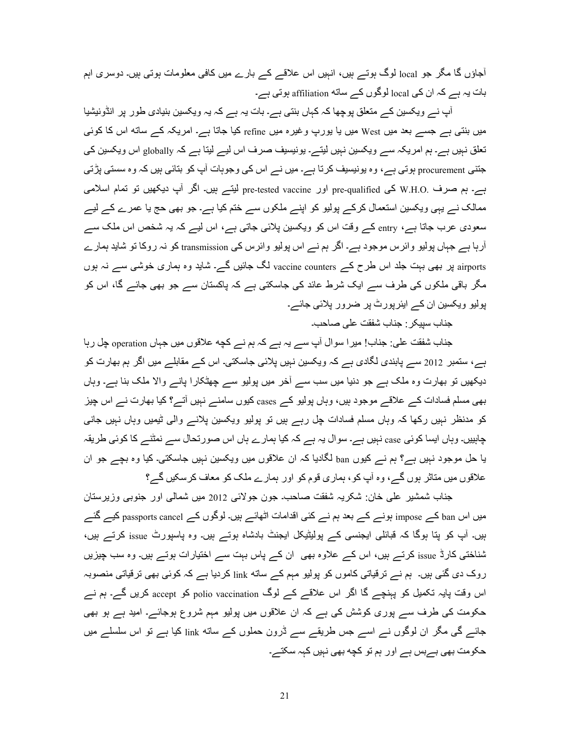آجاؤں گا مگر جو local لوگ ہوتے ہیں، انہیں اس علاقے کے بارے میں کافی معلومات ہوتی ہیں۔ دوسری اہم ہات یہ ہے کہ ان کی local لوگوں کے ساته affiliation ہوتی ہے۔

آپ نـــر ویکسین کـــر منعلق پوچھا کہ کہاں بنتی ہـــر ۔ بات یہ ہـــر کہ یہ ویکسین بنیادی طور پر انڈونیشیا میں بنتی ہے جسے بعد میں West میں یا یورپ وغیرہ میں refine کیا جاتا ہے۔ امریکہ کے ساته اس کا کوئی تعلق نہیں ہے۔ ہم امریکہ سے ویکسین نہیں لیتے۔ یونیسیف صرف اس لیے لیتا ہے کہ globally اس ویکسین کی جنتی procurement ہوتی ہے ، وہ پونیسیف کرتا ہے۔ میں نے اس کی وجوہات آپ کو بتائی ہیں کہ وہ سستی پڑتی ہے۔ ہم صرف W.H.O کی pre-qualified اور pre-tested vaccine لیتے ہیں۔ اگر آپ دیکھیں تو تمام اسلامی ممالک نے یہی ویکسین استعمال کرکے پولیو کو اپنے ملکوں سے ختم کیا ہے۔ جو بھی حج یا عمرے کے لیے سعودی عرب جاتا ہے، entry کے وقت اس کو ویکسین پلائی جاتی ہے، اس لیے کہ یہ شخص اس ملک سے آرہا ہے جہاں پولیو وائرس موجود ہے۔ اگر ہم نے اس پولیو وائرس کی transmission کو نہ روکا تو شاید ہمارے airports پر بھی بہت جلد اس طرح کے vaccine counters لگ جائیں گے۔ شاید وہ ہماری خوشبی سے نہ ہوں مگر باقی ملکوں کی طرف سے ایک شرط عائد کی جاسکتی ہے کہ پاکستان سے جو بھی جائے گا، اس کو پولیو ویکسین ان کے ایئرپورٹ پر ضرور پلائی جائے۔

جناب سببکر : جناب شفقت على صـاحب۔

جناب شفقت علی: جناب! میر ا سوال آپ سے یہ ہے کہ ہم نے کچه علاقوں میں جہاں operation چل رہا ہے، ستمبر 2012 سے پابندی لگادی ہے کہ ویکسین نہیں پلائی جاسکتی۔ اس کے مقابلے میں اگر ہم بھارت کو دیکھیں تو بھارت وہ ملک ہے جو دنیا میں سب سے آخر میں پولیو سے چھٹکارا پانے والا ملک بنا ہے۔ وہاں بھی مسلم فسادات کے علاقے موجود ہیں، وہاں پولیو کے cases کیوں سامنے نہیں آتے؟ کیا بھارت نے اس چیز کو مدنظر نہیں رکھا کہ وہاں مسلم فسادات چل رہے ہیں تو پولیو ویکسین پلانے والی ٹیمیں وہاں نہیں جانبی چاہییں۔ وہاں ایسا کوئی case نہیں ہے۔ سوال یہ ہے کہ کیا ہمارے ہاں اس صورتحال سے نمٹنے کا کوئی طریقہ یا حل موجود نہیں ہے؟ ہم نے کیوں ban لگادیا کہ ان علاقوں میں ویکسین نہیں جاسکتی۔ کیا وہ بچے جو ان علاقوں میں متاثر ہوں گے، وہ آپ کو ، ہماری قوم کو اور ہمارے ملک کو معاف کرسکیں گے؟

جناب شمشیر علی خان: شکریہ شفقت صاحب جون جولائی 2012 میں شمالی اور جنوبی وزیرستان میں اس ban کے impose بونے کے بعد ہم نے کئی اقدامات اٹھائے ہیں۔ لوگوں کے passports cancel کیے گئے ہیں۔ آپ کو پتا ہوگا کہ قبائلی ایجنسی کے پولیٹیکل ایجنٹ بادشاہ ہوتے ہیں۔ وہ پاسپورٹ issue کرتے ہیں، شناختی کارڈ issue کرتے ہیں، اس کے علاوہ بھی ان کے پاس بہت سے اختیارات ہوتے ہیں۔ وہ سب چیزیں روک دی گئی ہیں۔ ہم نے ترقیاتی کاموں کو پولیو مہم کے unk اوردیا ہے کہ کوئی بھی ترقیاتی منصوبہ اس وقت پایہ تکمیل کو پہنچے گا اگر اس علاقے کے لوگ polio vaccination کو accept کریں گے۔ ہم نے حکومت کی طرف سے پوری کوشش کی ہے کہ ان علاقوں میں پولیو مہم شروع ہوجائے۔ امید ہے ہو بھی جائسر گی مگر ان لوگوں نسر اسسر جس طریقسر سسر ڈرون حملوں کسر ساته link کیا ہسر تو اس سلسلسر میں حکومت بھی بےبس ہے اور ہم تو کچه بھی نہیں کہہ سکتے۔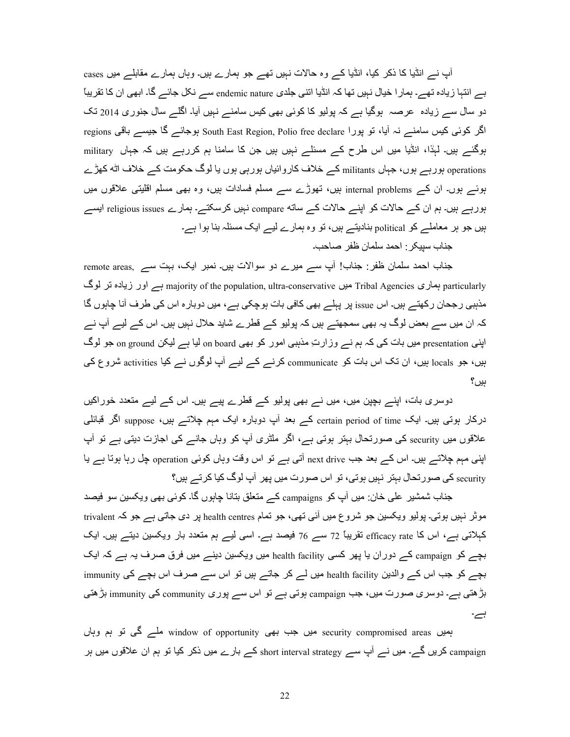آپ نے انڈیا کا ذکر کیا، انڈیا کے وہ حالات نہیں تھے جو ہمارے ہیں۔ وہاں ہمارے مقابلے میں cases بے انتہا زیادہ تھے۔ ہمار ا خیال نہیں تھا کہ انڈیا اتنی جلدی endemic nature سے نکل جائے گا۔ ابھی ان کا تقریباً دو سال سے زیادہ عرصہ ہوگیا ہے کہ پولیو کا کوئی بھی کیس سامنے نہیں آیا۔ اگلے سال جنوری 2014 تک regions بوجائسہ کا جیسہ باقی South East Region, Polio free declare اگر کوئی کیس سامنے نہ آیا، تو پورا ہوگئے ہیں۔ لہٰذا، انڈیا میں اس طرح کے مسئلے نہیں ہیں جن کا سامنا ہم کررہے ہیں کہ جہاں military operations ہورہے ہوں، جہاں militants کے خلاف کاروائیاں ہورہی ہوں یا لوگ حکومت کے خلاف اٹه کھڑے ہوئے ہوں۔ ان کے internal problems بیں، تھوڑے سے مسلم فسادات ہیں، وہ بھی مسلم اقلیتی علاقوں میں ہورہے ہیں۔ ہم ان کے حالات کو اپنے حالات کے ساته compare نہیں کرسکتے۔ ہمارے religious issues ایسے ہیں جو ہر معاملے کو political بنادیتے ہیں، تو وہ ہمارے لیے ایک مسئلہ بنا ہوا ہے۔ جناب سبيكر : احمد سلمان ظفر صاحب۔

جناب احمد سلمان ظفر : جناب! أپ سے میرے دو سوالات ہیں۔ نمبر ایک، بہت سے ,remote areas particularly بماری Tribal Agencies میں majority of the population, ultra-conservative ہسر اور زیادہ تر لوگ مذہبی رجحان رکھتے ہیں۔ اس issue پر پہلے بھی کافی بات ہوچکی ہے، میں دوبارہ اس کی طرف آنا چاہوں گا کہ ان میں سے بعض لوگ یہ بھی سمجھتے ہیں کہ پولیو کے قطرے شاید حلال نہیں ہیں۔ اس کے لیے آپ نے اپنی presentation میں بات کی کہ ہم نے وزارتِ مذہبی امور کو بھی on board لیا ہے لیکن on ground جو لوگ ہیں، جو locals ہیں، ان تک اس بات کو communicate کرنے کے لیے آپ لوگوں نے کیا activities شروع کی بیں؟

دوسری بات، اپنے بچپن میں، میں نے بھی پولیو کے قطرے پیے ہیں۔ اس کے لیے متعدد خوراکیں درکار ہوتی ہیں۔ ایک certain period of time کے بعد آپ دوبارہ ایک مہم چلاتے ہیں، suppose اگر قبائلی علاقوں میں security کی صورتحال بہتر ہوتی ہے، اگر ملٹری آپ کو وہاں جانے کی اجازت دیتی ہے تو آپ اپنی مہم چلاتسہ بیں۔ اس کسہ بعد جب next drive آتی ہے تو اس وقت وہاں کوئی operation چل رہا ہوتا ہے یا security کی صورتحال ببتر نہیں ہوتی، تو اس صورت میں پھر آپ لوگ کیا کرتے ہیں؟

جناب شمشیر علی خان: میں آپ کو campaigns کے متعلق بتانا چاہوں گا۔ کوئی بھی ویکسین سو فیصد موثر نہیں ہوتی۔ پولیو ویکسین جو شروع میں آئی تھی، جو تمام health centres پر دی جاتی ہے جو کہ trivalent کہلاتی ہے، اس کا efficacy rate تقریباً 72 سے 76 فیصد ہے۔ اسی لیے ہم متعدد بار ویکسین دیتے ہیں۔ ایک بچے کو campaign کے دوران یا پھر کسی health facility میں ویکسین دینے میں فرق صرف یہ ہے کہ ایک بچے کو جب اس کے والدین health facility میں لے کر جاتے ہیں تو اس سے صرف اس بچے کی immunity بڑھتی ہے۔ دوسری صورت میں، جب campaign ہوتی ہے تو اس سے پوری community کی immunity بڑھتی ہے۔

ہمیں security compromised areas میں جب بھی window of opportunity ملے گی تو ہم وہاں campaign کریں گے۔ میں نے آپ سے short interval strategy کے بارے میں ذکر کیا تو ہم ان علاقوں میں ہر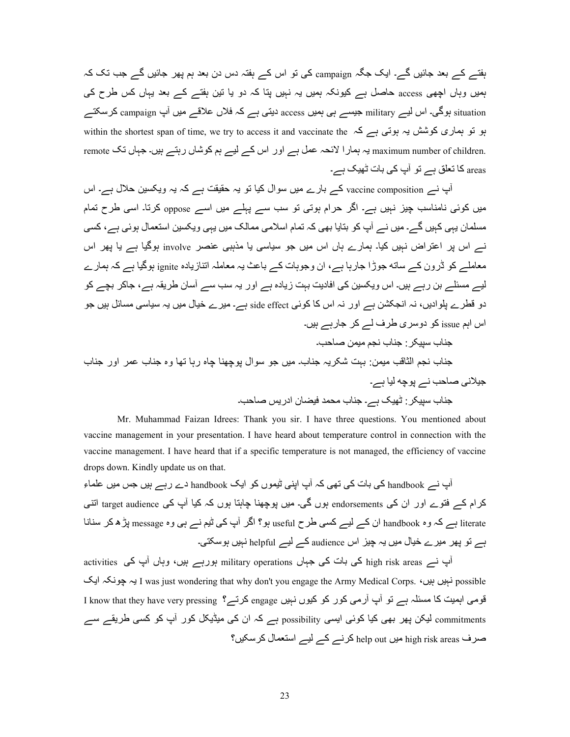ہفتے کے بعد جائیں گے۔ ایک جگہ campaign کی تو اس کے ہفتہ دس دن بعد ہم پھر جائیں گے جب تک کہ ہمیں وہاں اچھی access حاصل ہے کیونکہ ہمیں یہ نہیں پتا کہ دو یا تین ہفتے کے بعد یہاں کس طرح کی situation ہوگی۔ اس لیے military جیسے ہی ہمیں access دیتی ہے کہ فلاں علاقے میں آپ campaign کرسکتے ہو تو ہماری کوشش یہ ہوتی ہے کہ within the shortest span of time, we try to access it and vaccinate the .maximum number of children یہ ہمارا لائحہ عمل ہے اور اس کے لیے ہم کوشاں رہتے ہیں۔ جہاں تک remote areas کا تعلق ہے تو آپ کی بات ٹھیک ہے۔

آپ نے vaccine composition کے بارے میں سوال کیا تو یہ حقیقت ہے کہ یہ ویکسین حلال ہے۔ اس میں کوئی نامناسب چیز نہیں ہے۔ اگر حرام ہوتی تو سب سے پہلے میں اسے oppose کرتا۔ اسی طرح تمام مسلمان یہی کہیں گے۔ میں نے آپ کو بتایا بھی کہ تمام اسلامی ممالک میں یہی ویکسین استعمال ہوئی ہے، کسی نے اس پر اعتراض نہیں کیا۔ ہمارے ہاں اس میں جو سیاسی یا مذہبی عنصر involve ہوگیا ہے یا بھر اس معاملے کو ڈرون کے ساته جوڑا جارہا ہے، ان وجوہات کے باعث یہ معاملہ اتنازیادہ ignite ہوگیا ہے کہ ہمارے لیے مسئلے بن رہے ہیں۔ اس ویکسین کی افادیت بہت زیادہ ہے اور یہ سب سے آسان طریقہ ہے، جاکر بچے کو دو قطرے پلوادیں، نہ انجکشن ہے اور نہ اس کا کوئی side effect ہے۔ میرے خیال میں یہ سیاسی مسائل ہیں جو اس اہم issue کو دوسری طرف لے کر جارہے ہیں۔

Mr. Muhammad Faizan Idrees: Thank you sir. I have three questions. You mentioned about vaccine management in your presentation. I have heard about temperature control in connection with the vaccine management. I have heard that if a specific temperature is not managed, the efficiency of vaccine drops down. Kindly update us on that.

۔<br>آپ نسر handbook کی بات کی تھی کہ آپ اپنی ٹیموں کو ایک handbook دے رہے ہیں جس میں علماء کرام کہ فتوے اور ان کی endorsements ہوں گی۔ میں پوچھنا چاہتا ہوں کہ کیا آپ کی target audience اتنی literate ہے کہ وہ handbook ان کے لیے کسی طرح useful ہو؟ اگر آپ کی ٹیم نے ہی وہ message پڑھ کر سنانا ہے تو پھر میرے خیال میں یہ چیز اس audience کے لیے helpful نہیں ہوسکتی۔

آپ نے high risk areas کی بات کی جہاں military operations ہورہے ہیں، وہاں آپ کی activities possible نہیں بیں، I was just wondering that why don't you engage the Army Medical Corps. بہ چونکہ ایک قومی اہمیت کا مسئلہ ہے تو آپ آرمی کور کو کیوں نہیں engage کرتے؟ I know that they have very pressing commitments لیکن پھر بھی کیا کوئی ایسی possibility ہے کہ ان کی میڈیکل کور آپ کو کسی طریقے سے صرف high risk areas میں help out کرنے کے لیے استعمال کرسکیں؟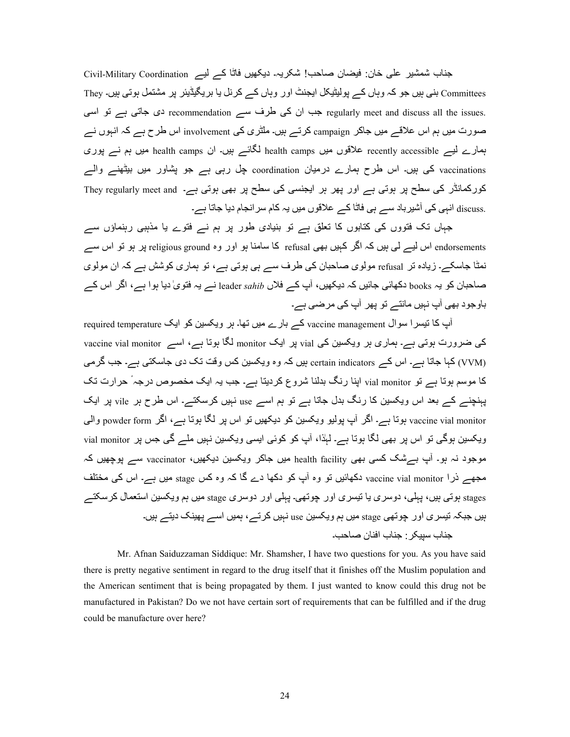جناب شمشیر علی خان: فیضان صاحب! شکریہ۔ دیکھیں فاتّا کے لیے Civil-Military Coordination Committees بنی ہیں جو کہ وہاں کے پولیٹیکل ایجنٹ اور وہاں کے کرنل یا بریگیڈیئر پر مشتمل ہوتی ہیں۔ They regularly meet and discuss all the issues. جب ان کی طرف سے recommendation دی جاتی ہے تو اسی صورت میں ہم اس علاقے میں جاکر campaign کرتے ہیں۔ ملٹری کی involvement اس طرح ہے کہ انہوں نے ہمارے لیے recently accessible علاقوں میں health camps لگائے ہیں۔ ان health camps میں ہم نے پوری vaccinations کی ہیں۔ اس طرح ہمارے درمیان coordination چل رہی ہے جو پشاور میں بیٹھنے والے کورکمانڈر کی سطح پر ہوتی ہے اور پھر ہر ایجنسی کی سطح پر بھی ہوتی ہے۔ They regularly meet and .discuss انہی کی آشپرباد سے ہی فاٹا کے علاقوں میں یہ کام سرانجام دیا جاتا ہے۔

جہاں تک فتووں کی کتابوں کا تعلق ہے تو بنیادی طور پر ہم نے فتوے یا مذہبی رہنماؤں سے endorsements اس لیے لی ہیں کہ اگر کہیں بھی refusal کا سامنا ہو اور وہ religious ground پر ہو تو اس سے نمٹا جاسکے۔ زیادہ تر refusal مولوی صاحبان کی طرف سے ہی ہوتی ہے، تو ہماری کوشش ہے کہ ان مولوی صاحبان کو یہ books دکھائی جائیں کہ دیکھیں، آپ کے فلاں leader *sahib* نے یہ فتویٰ دیا ہوا ہے، اگر اس کے باوجود بھی آپ نہیں مانتے تو پھر آپ کی مرضی ہے۔

 $r$ equired temperature کے بارے میں تھا۔ ہر ویکسین کو ایک required temperature اب کا تیسرا سوال کی ضرورت ہوتی ہے۔ ہماری ہر ویکسین کی vial پر ایک monitor لگا ہوتا ہے، اسے vaccine vial monitor lYBn 4a ہے۔ lwcT9a £د C و zi X0{cKو وہ ہi ں0ہ certain indicators ےi اس ہے۔ 9C9a 9ہi (VVM) کا موسم ہوتا ہے تو vial monitor اپنا رنگ بدلنا شروع کردیتا ہے۔ جب یہ ایک مخصوص درجہ ٔ حرارت تک یہنچنے کے بعد اس ویکسین کا رنگ بدل جاتا ہے تو ہم اسے use نہیں کرسکتے۔ اس طرح ہر vile پر ایک vaccine vial monitor ہوتا ہے۔ اگر آپ پولیو ویکسین کو دیکھیں تو اس پر لگا ہوتا ہے، اگر powder form والی ویکسین ہوگی تو اس پر بھی لگا ہوتا ہے۔ لہٰذا، آپ کو کوئی ایسی ویکسین نہیں ملے گی جس پر vial monitor موجود نہ ہو۔ آپ بےشک کسی بھی health facility میں جاکر ویکسین دیکھیں، vaccinator سے پوچھیں کہ مجھے ذرا vaccine vial monitor دکھائیں تو وہ أب کو دکھا دے گا کہ وہ کس stage میں ہے۔ اس کی مختلف stages بوتی ہیں، پہلی، دوسری یا تیسری اور چوتھی۔ پہلی اور دوسری stage میں ہم ویکسین استعمال کرسکتے ہیں جبکہ تیسر ی اور جو تھی stage میں ہم ویکسین use نہیں کرتے ، ہمیں اسے پھینک دیتے ہیں۔ جناب سبیکر - جناب افنان صاحب۔

 Mr. Afnan Saiduzzaman Siddique: Mr. Shamsher, I have two questions for you. As you have said there is pretty negative sentiment in regard to the drug itself that it finishes off the Muslim population and the American sentiment that is being propagated by them. I just wanted to know could this drug not be manufactured in Pakistan? Do we not have certain sort of requirements that can be fulfilled and if the drug could be manufacture over here?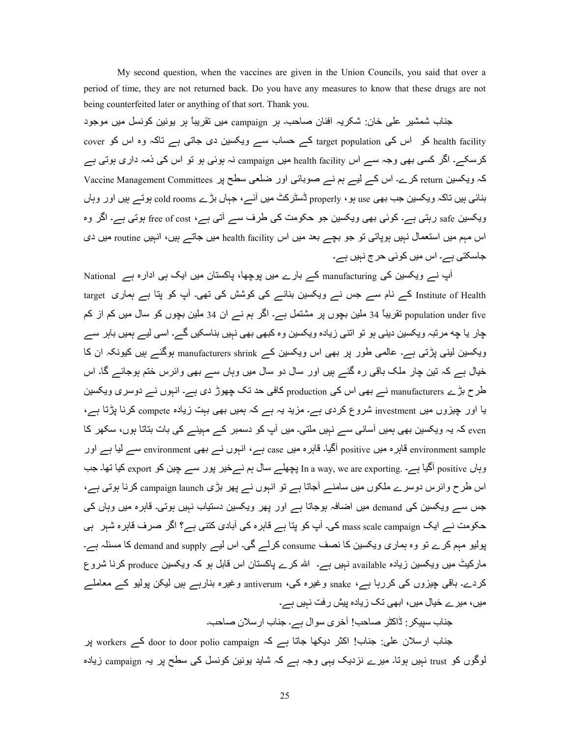My second question, when the vaccines are given in the Union Councils, you said that over a period of time, they are not returned back. Do you have any measures to know that these drugs are not being counterfeited later or anything of that sort. Thank you.

جناب شمشیر علی خان: شکریہ افنان صاحب بر campaign میں تقریباً بر یونین کونسل میں موجود health facility کو اس کی target population کے حساب سے ویکسین دی جاتی ہے تاکہ وہ اس کو cover کرسکے۔ اگر کسی بھی وجہ سے اس health facility میں campaign نہ ہوئی ہو تو اس کی ذمہ داری ہوتی ہے کہ ویکسین return کرے۔ اس کے لیے ہم نے صوبائی اور ضلعی سطح پر Vaccine Management Committees بنائی ہیں تاکہ ویکسین جب بھی use ہو ، properly ڈسٹرکٹ میں آئے ، جہاں بڑے cold rooms ہوتے ہیں اور وہاں ویکسین safe رہتی ہے۔ کوئی بھی ویکسین جو حکومت کی طرف سے آتی ہے، free of cost ہوتی ہے۔ اگر وہ اس مہم میں استعمال نہیں ہوپاتی تو جو بچے بعد میں اس health facility میں جاتے ہیں، انہیں routine میں دی جاسکتی ہے۔ اس میں کوئی حرج نہیں ہے۔

آپ نے ویکسین کی manufacturing کے بارے میں پوچھا، پاکستان میں ایک ہی ادارہ ہے National Institute of Health کے نام سے جس نے ویکسین بنانے کی کوشش کی تھی۔ آپ کو بتا ہے ہماری target population under five نقریباً 34 ملین بچوں پر مشتمل ہے۔ اگر ہم نے ان 34 ملین بچوں کو سال میں کم از کم چار یا چه مرتبہ ویکسین دینی ہو تو اتنی زیادہ ویکسین وہ کبھی بھی نہیں بناسکیں گے۔ اسی لیے ہمیں باہر سے ویکسین لینی پڑتی ہے۔ عالمی طور پر بھی اس ویکسین کے manufacturers shrink ہوگئے ہیں کیونکہ ان کا خیال ہے کہ تین چار ملک باقی رہ گئے ہیں اور سال دو سال میں وہاں سے بھی وائرس ختم ہوجائے گا۔ اس طرح بڑے manufacturers نے بھی اس کی production کافی حد تک چھوڑ دی ہے۔ انبوں نے دوسری ویکسین یا اور چیزوں میں investment شروع کردی ہے۔ مزید یہ ہے کہ ہمیں بھی بہت زیادہ compete کرنا پڑتا ہے، even کہ یہ ویکسین بھی ہمیں آسانی سے نہیں ملتی۔ میں آپ کو دسمبر کے مہینے کی بات بتاتا ہوں، سکھر کا environment sample قاہرہ میں positive آگیا۔ قاہرہ میں case ہے، انہوں نے بھی environment سے لیا ہے اور وباں positive آگیا ہے۔ .In a way, we are exporting یچھلے سال ہم نےخیر پور سے جین کو export کیا تھا۔ جب اس طرح وائرس دوسرے ملکوں میں سامنے آجاتا ہے تو انبوں نے پھر بڑی campaign launch کرنا ہوتی ہے، جس سے ویکسین کی demand میں اضافہ ہوجاتا ہے اور پھر ویکسین دستیاب نہیں ہوتی۔ قاہرہ میں وہاں کی حکومت نے ایک mass scale campaign کی۔ آپ کو پتا ہے قاہرہ کی آبادی کتنی ہے؟ اگر صرف قاہرہ شہر ہی پولیو مہم کرے تو وہ ہماری ویکسین کا نصف consume کرلے گی۔ اس لیے demand and supply کا مسئلہ ہے۔ مارکیٹ میں ویکسین زیادہ available نہیں ہے۔ اللہ کرے پاکستان اس قابل ہو کہ ویکسین produce کرنا شروع کردے۔ باقی چیزوں کی کررہا ہے، snake وغیرہ کی، antiverum وغیرہ بنارہے ہیں لیکن پولیو کے معاملے میں، میرے خیال میں، ابھی نک زیادہ پیش رفت نہیں ہے۔

جناب سيبكر : ڈاكٹر صاحب! آخرى سوال ہے۔ جناب ارسلان صاحب۔

جناب ارسلان علی: جناب! اکثر دیکھا جاتا ہے کہ workers کے door to door polio campaign پر لوگوں کو trust نہیں ہوتا۔ میرے نزدیک یہی وجہ ہے کہ شاید یونین کونسل کی سطح پر یہ campaign زیادہ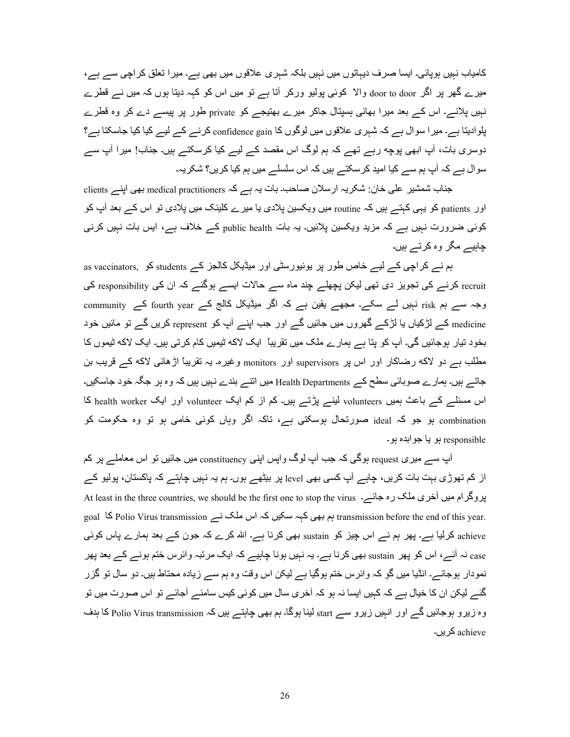کامیاب نہیں ہوپائی۔ ایسا صرف دیہاتوں میں نہیں بلکہ شہری علاقوں میں بھی ہے۔ میر ا تعلق کر اچی سے ہے، میرے گھر پر اگر door to door والا کوئی پولیو ورکر آتا ہے تو میں اس کو کہہ دیتا ہوں کہ میں نے قطرے نہیں پلانے۔ اس کے بعد میرا بھائی ہسپتال جاکر میرے بھتیجے کو private طور پر پیسے دے کر وہ قطرے بلوادیتا ہے۔ میر ا سوال ہے کہ شہری علاقوں میں لوگوں کا confidence gain کرنے کے لیے کیا کیا جاسکتا ہے؟ دوسری بات، آپ ابھی پوچه رہے تھے کہ ہم لوگ اس مقصد کے لیے کیا کرسکتے ہیں۔ جناب! میرا آپ سے سوال ہے کہ آپ ہم سے کیا امید کرسکتے ہیں کہ اس سلسلے میں ہم کیا کریں؟ شکریہ۔

جناب شمشیر علی خان: شکریہ ارسلان صاحب بات یہ ہے کہ medical practitioners بھی اپنے clients اور patients کو یہی کہتے ہیں کہ routine میں ویکسین پلادی یا میرے کلینک میں پلادی تو اس کے بعد آپ کو کوئی ضرورت نہیں ہے کہ مزید ویکسین پلائیں۔ یہ بات public health کے خلاف ہے، ایس بات نہیں کرنے جابیے مگر وہ کرتے ہیں۔

ہم نے کراچی کے لیے خاص طور پر یونیورسٹی اور میڈیکل کالجز کے students کو as vaccinators recruit کرنے کی تجویز دی تھی لیکن پچھلے چند ماہ سے حالات ایسے ہوگئے کہ ان کی responsibility کی وجہ سے ہم risk نہیں لے سکے۔ مجھے یقین ہے کہ اگر میڈیکل کالج کے fourth year کے community medicine کے لڑکیاں یا لڑکے گھروں میں جائیں گے اور جب اپنے آپ کو represent کریں گے تو مائیں خود بخود تیار ہوجائیں گی۔ آپ کو بنا ہے ہمارے ملک میں تقریباً ایک لاکه ٹیمیں کام کرتی ہیں۔ ایک لاکه ٹیموں کا مطلب ہے دو لاکه رضاکار اور اس پر supervisors اور monitors وغیرہ یہ تقریباً اڑھائی لاکه کے قریب بن جاتے ہیں۔ ہمارے صوبائی سطح کے Health Departments میں انتے بندے نہیں ہیں کہ وہ ہر جگہ خود جاسکیں۔ اس مسئلے کے باعث ہمیں volunteers لینے پڑتے ہیں۔ کم از کم ایک volunteer اور ایک health worker کا combination ہو جو کہ ideal صورتحال ہوسکتی ہے، تاکہ اگر وہاں کوئی خامی ہو تو وہ حکومت کو responsible ہو يا جوابدہ ہو۔

آپ سے میری request ہوگی کہ جب آپ لوگ واپس اپنی constituency میں جائیں تو اس معاملے پر کم از کم تھوڑی بہت بات کریں، چاہے آپ کسی بھی level پر بیٹھے ہوں۔ ہم یہ نہیں چاہتے کہ پاکستان، پولیو کے At least in the three countries, we should be the first one to stop the virus ۔ جائسہ عدالت کر معالک رہ جائسہ goal 5 Jolio Virus transmission ہم بھی کہہ سکیں کہ اس ملک نسر polio Virus transmission ہے اس ملک achieve کرلیا ہے۔ پھر ہم نے اس چیز کو sustain بھی کرنا ہے۔ اللہ کرے کہ جون کے بعد ہمارے پاس کوئی case نہ آئے، اس کو پھر sustain بھی کرنا ہے۔ یہ نہیں ہونا چاہیے کہ ایک مرتبہ وائرس ختم ہونے کے بعد پھر نمودار ہوجائے۔ انڈیا میں گو کہ وائرس ختم ہوگیا ہے لیکن اس وقت وہ ہم سے زیادہ محتاط ہیں۔ دو سال تو گزر گئے لیکن ان کا خیال ہے کہ کہیں ایسا نہ ہو کہ آخر *ی* سال میں کوئی کیس سامنے آجائے تو اس صورت میں تو وہ زیرو ہوجائیں گے اور انہیں زیرو سے start لینا ہوگا۔ ہم بھی چاہتے ہیں کہ Polio Virus transmission کا ہدف achieve کر یں۔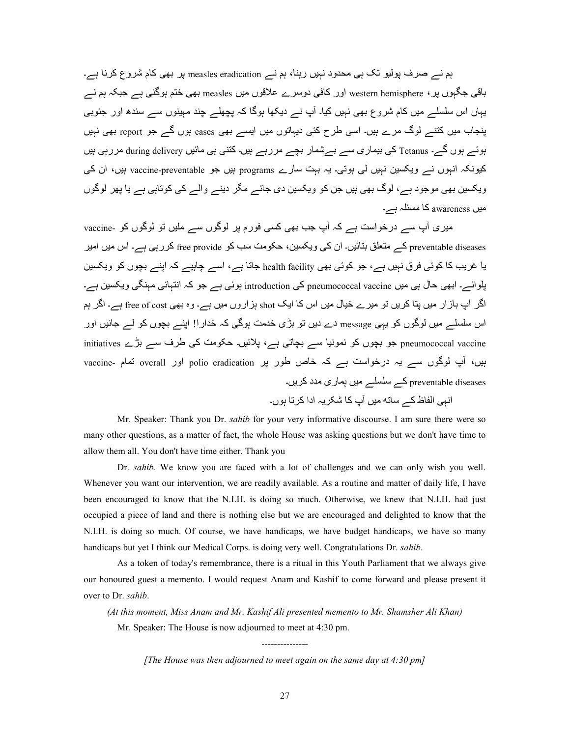ہم نے صرف پولیو تک ہی محدود نہیں رہنا، ہم نے measles eradication پر بھی کام شروع کرنا ہے۔ باقی جگہوں پر ، western hemisphere اور کافی دوسرے علاقوں میں measles بھی ختم ہوگئی ہے جبکہ ہم نے یہاں اس سلسلے میں کام شروع بھی نہیں کیا۔ آپ نے دیکھا ہوگا کہ پچھلے چند مہینوں سے سندھ اور جنوبی پنجاب میں کتنے لوگ مرے ہیں۔ اسی طرح کئی دیہاتوں میں ایسے بھی cases ہوں گے جو report بھی نہیں ہوئـــر ہوں گـــر- Tetanus كي بيماري ســـر بـــرشمار بچـــر مررہـــر ہيں۔ كتني ہي مائيں during delivery مررہي ہيں کیونکہ انہوں نے ویکسین نہیں لی ہوتی۔ یہ بہت سارے programs ہیں جو vaccine-preventable ہیں، ان کی ویکسین بھی موجود ہے، لوگ بھی ہیں جن کو ویکسین دی جائے مگر دینے والے کی کوتاہی ہے یا پھر لوگوں ہیں awareness کا مسئلہ ہے۔

میری آپ سے درخواست ہے کہ آپ جب بھی کسی فورم پر لوگوں سے ملیں تو لوگوں کو ۔vaccine preventable diseases کے متعلق بتائیں۔ ان کی ویکسین، حکومت سب کو free provide کررہی ہے۔ اس میں امیر یا غریب کا کوئی فرق نہیں ہے، جو کوئی بھی health facility جاتا ہے، اسے چاہیے کہ اپنے بچوں کو ویکسین ہلوائسہ۔ ابھی حال ہی میں pneumococcal vaccine کی introduction ہوئی ہے جو کہ انتہائی مہنگی ویکسین ہے۔ اگر آپ بازار میں بنا کریں تو میرے خیال میں اس کا ایک shot ہزاروں میں ہے۔ وہ بھی free of cost ہے۔ اگر ہم اس سلسلے میں لوگوں کو بہی message دے دیں تو بڑی خدمت ہوگی کہ خدار ا! اپنے بچوں کو لے جائیں اور initiatives جو بچوں کو نمونیا سے بچاتی ہے، پلائیں۔ حکومت کی طرف سے بڑے initiatives ہیں، آپ لوگوں سے یہ درخواست ہے کہ خاص طور پر polio eradication اور overall تمام -vaccine preventable diseases کے سلسلے میں ہماری مدد کریں۔ انبی الفاظ کے ساته میں آپ کا شکر یہ ادا کر تا ہوں۔

 Mr. Speaker: Thank you Dr. *sahib* for your very informative discourse. I am sure there were so many other questions, as a matter of fact, the whole House was asking questions but we don't have time to allow them all. You don't have time either. Thank you

Dr. *sahib*. We know you are faced with a lot of challenges and we can only wish you well. Whenever you want our intervention, we are readily available. As a routine and matter of daily life, I have been encouraged to know that the N.I.H. is doing so much. Otherwise, we knew that N.I.H. had just occupied a piece of land and there is nothing else but we are encouraged and delighted to know that the N.I.H. is doing so much. Of course, we have handicaps, we have budget handicaps, we have so many handicaps but yet I think our Medical Corps. is doing very well. Congratulations Dr. *sahib*.

 As a token of today's remembrance, there is a ritual in this Youth Parliament that we always give our honoured guest a memento. I would request Anam and Kashif to come forward and please present it over to Dr. *sahib*.

*(At this moment, Miss Anam and Mr. Kashif Ali presented memento to Mr. Shamsher Ali Khan)*  Mr. Speaker: The House is now adjourned to meet at 4:30 pm.

> *--------------- [The House was then adjourned to meet again on the same day at 4:30 pm]*